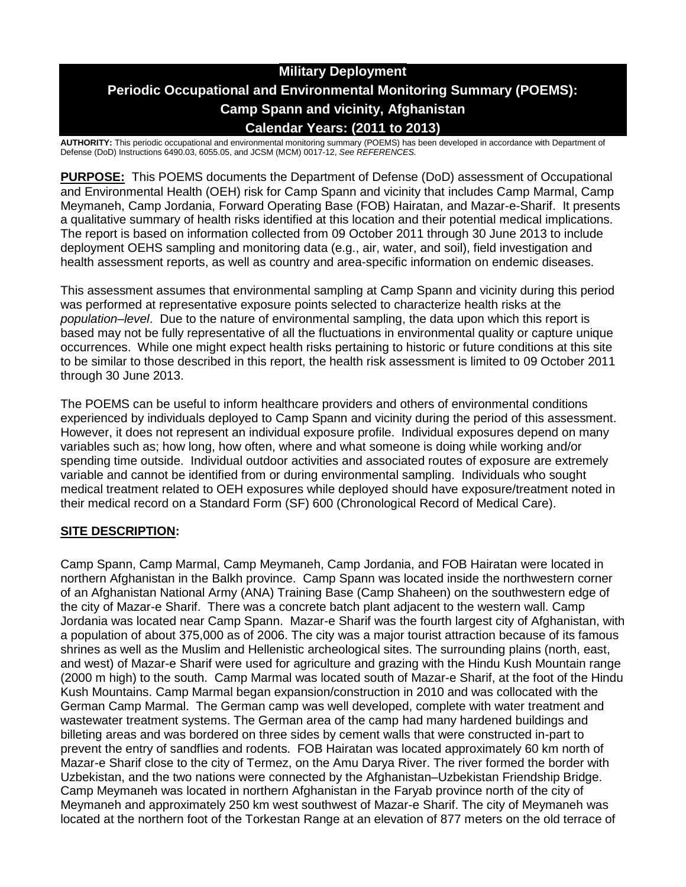# **Military Deployment Periodic Occupational and Environmental Monitoring Summary (POEMS): Camp Spann and vicinity, Afghanistan Calendar Years: (2011 to 2013)**

**AUTHORITY:** This periodic occupational and environmental monitoring summary (POEMS) has been developed in accordance with Department of Defense (DoD) Instructions 6490.03, 6055.05, and JCSM (MCM) 0017-12, *See REFERENCES.*

**PURPOSE:** This POEMS documents the Department of Defense (DoD) assessment of Occupational and Environmental Health (OEH) risk for Camp Spann and vicinity that includes Camp Marmal, Camp Meymaneh, Camp Jordania, Forward Operating Base (FOB) Hairatan, and Mazar-e-Sharif. It presents a qualitative summary of health risks identified at this location and their potential medical implications. The report is based on information collected from 09 October 2011 through 30 June 2013 to include deployment OEHS sampling and monitoring data (e.g., air, water, and soil), field investigation and health assessment reports, as well as country and area-specific information on endemic diseases.

This assessment assumes that environmental sampling at Camp Spann and vicinity during this period was performed at representative exposure points selected to characterize health risks at the *population–level*. Due to the nature of environmental sampling, the data upon which this report is based may not be fully representative of all the fluctuations in environmental quality or capture unique occurrences. While one might expect health risks pertaining to historic or future conditions at this site to be similar to those described in this report, the health risk assessment is limited to 09 October 2011 through 30 June 2013.

The POEMS can be useful to inform healthcare providers and others of environmental conditions experienced by individuals deployed to Camp Spann and vicinity during the period of this assessment. However, it does not represent an individual exposure profile. Individual exposures depend on many variables such as; how long, how often, where and what someone is doing while working and/or spending time outside. Individual outdoor activities and associated routes of exposure are extremely variable and cannot be identified from or during environmental sampling. Individuals who sought medical treatment related to OEH exposures while deployed should have exposure/treatment noted in their medical record on a Standard Form (SF) 600 (Chronological Record of Medical Care).

### **SITE DESCRIPTION:**

Camp Spann, Camp Marmal, Camp Meymaneh, Camp Jordania, and FOB Hairatan were located in northern Afghanistan in the Balkh province. Camp Spann was located inside the northwestern corner of an Afghanistan National Army (ANA) Training Base (Camp Shaheen) on the southwestern edge of the city of Mazar-e Sharif. There was a concrete batch plant adjacent to the western wall. Camp Jordania was located near Camp Spann. Mazar-e Sharif was the fourth largest city of Afghanistan, with a population of about 375,000 as of 2006. The city was a major tourist attraction because of its famous shrines as well as the Muslim and Hellenistic archeological sites. The surrounding plains (north, east, and west) of Mazar-e Sharif were used for agriculture and grazing with the Hindu Kush Mountain range (2000 m high) to the south. Camp Marmal was located south of Mazar-e Sharif, at the foot of the Hindu Kush Mountains. Camp Marmal began expansion/construction in 2010 and was collocated with the German Camp Marmal. The German camp was well developed, complete with water treatment and wastewater treatment systems. The German area of the camp had many hardened buildings and billeting areas and was bordered on three sides by cement walls that were constructed in-part to prevent the entry of sandflies and rodents. FOB Hairatan was located approximately 60 km north of Mazar-e Sharif close to the city of Termez, on the Amu Darya River. The river formed the border with Uzbekistan, and the two nations were connected by the Afghanistan–Uzbekistan Friendship Bridge. Camp Meymaneh was located in northern Afghanistan in the Faryab province north of the city of Meymaneh and approximately 250 km west southwest of Mazar-e Sharif. The city of Meymaneh was located at the northern foot of the Torkestan Range at an elevation of 877 meters on the old terrace of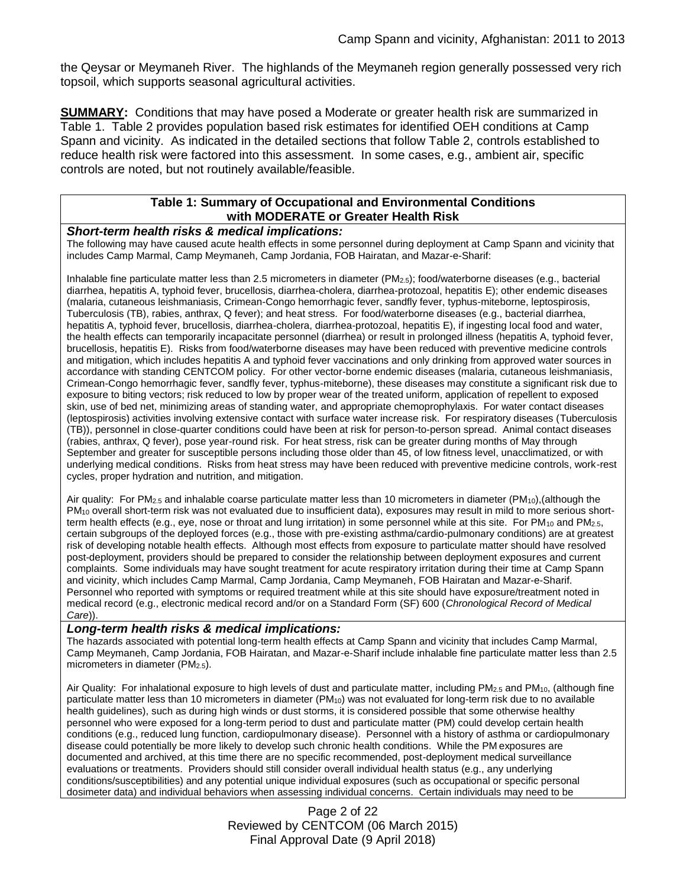the Qeysar or Meymaneh River. The highlands of the Meymaneh region generally possessed very rich topsoil, which supports seasonal agricultural activities.

**SUMMARY:** Conditions that may have posed a Moderate or greater health risk are summarized in Table 1. Table 2 provides population based risk estimates for identified OEH conditions at Camp Spann and vicinity. As indicated in the detailed sections that follow Table 2, controls established to reduce health risk were factored into this assessment. In some cases, e.g., ambient air, specific controls are noted, but not routinely available/feasible.

# **Table 1: Summary of Occupational and Environmental Conditions with MODERATE or Greater Health Risk**

#### *Short-term health risks & medical implications:*

The following may have caused acute health effects in some personnel during deployment at Camp Spann and vicinity that includes Camp Marmal, Camp Meymaneh, Camp Jordania, FOB Hairatan, and Mazar-e-Sharif:

Inhalable fine particulate matter less than 2.5 micrometers in diameter (PM2.5); food/waterborne diseases (e.g., bacterial diarrhea, hepatitis A, typhoid fever, brucellosis, diarrhea-cholera, diarrhea-protozoal, hepatitis E); other endemic diseases (malaria, cutaneous leishmaniasis, Crimean-Congo hemorrhagic fever, sandfly fever, typhus-miteborne, leptospirosis, Tuberculosis (TB), rabies, anthrax, Q fever); and heat stress. For food/waterborne diseases (e.g., bacterial diarrhea, hepatitis A, typhoid fever, brucellosis, diarrhea-cholera, diarrhea-protozoal, hepatitis E), if ingesting local food and water, the health effects can temporarily incapacitate personnel (diarrhea) or result in prolonged illness (hepatitis A, typhoid fever, brucellosis, hepatitis E). Risks from food/waterborne diseases may have been reduced with preventive medicine controls and mitigation, which includes hepatitis A and typhoid fever vaccinations and only drinking from approved water sources in accordance with standing CENTCOM policy. For other vector-borne endemic diseases (malaria, cutaneous leishmaniasis, Crimean-Congo hemorrhagic fever, sandfly fever, typhus-miteborne), these diseases may constitute a significant risk due to exposure to biting vectors; risk reduced to low by proper wear of the treated uniform, application of repellent to exposed skin, use of bed net, minimizing areas of standing water, and appropriate chemoprophylaxis. For water contact diseases (leptospirosis) activities involving extensive contact with surface water increase risk. For respiratory diseases (Tuberculosis (TB)), personnel in close-quarter conditions could have been at risk for person-to-person spread. Animal contact diseases (rabies, anthrax, Q fever), pose year-round risk. For heat stress, risk can be greater during months of May through September and greater for susceptible persons including those older than 45, of low fitness level, unacclimatized, or with underlying medical conditions. Risks from heat stress may have been reduced with preventive medicine controls, work-rest cycles, proper hydration and nutrition, and mitigation.

Air quality: For  $PM_{2.5}$  and inhalable coarse particulate matter less than 10 micrometers in diameter ( $PM_{10}$ ), (although the PM<sup>10</sup> overall short-term risk was not evaluated due to insufficient data), exposures may result in mild to more serious shortterm health effects (e.g., eye, nose or throat and lung irritation) in some personnel while at this site. For PM<sub>10</sub> and PM<sub>2.5</sub>, certain subgroups of the deployed forces (e.g., those with pre-existing asthma/cardio-pulmonary conditions) are at greatest risk of developing notable health effects. Although most effects from exposure to particulate matter should have resolved post-deployment, providers should be prepared to consider the relationship between deployment exposures and current complaints. Some individuals may have sought treatment for acute respiratory irritation during their time at Camp Spann and vicinity, which includes Camp Marmal, Camp Jordania, Camp Meymaneh, FOB Hairatan and Mazar-e-Sharif. Personnel who reported with symptoms or required treatment while at this site should have exposure/treatment noted in medical record (e.g., electronic medical record and/or on a Standard Form (SF) 600 (*Chronological Record of Medical Care*)).

#### *Long-term health risks & medical implications:*

The hazards associated with potential long-term health effects at Camp Spann and vicinity that includes Camp Marmal, Camp Meymaneh, Camp Jordania, FOB Hairatan, and Mazar-e-Sharif include inhalable fine particulate matter less than 2.5 micrometers in diameter (PM<sub>2.5</sub>).

Air Quality: For inhalational exposure to high levels of dust and particulate matter, including  $PM_{2.5}$  and  $PM_{10}$ , (although fine particulate matter less than 10 micrometers in diameter (PM<sub>10</sub>) was not evaluated for long-term risk due to no available health guidelines), such as during high winds or dust storms, it is considered possible that some otherwise healthy personnel who were exposed for a long-term period to dust and particulate matter (PM) could develop certain health conditions (e.g., reduced lung function, cardiopulmonary disease). Personnel with a history of asthma or cardiopulmonary disease could potentially be more likely to develop such chronic health conditions. While the PM exposures are documented and archived, at this time there are no specific recommended, post-deployment medical surveillance evaluations or treatments. Providers should still consider overall individual health status (e.g., any underlying conditions/susceptibilities) and any potential unique individual exposures (such as occupational or specific personal dosimeter data) and individual behaviors when assessing individual concerns. Certain individuals may need to be

> Page 2 of 22 Reviewed by CENTCOM (06 March 2015) Final Approval Date (9 April 2018)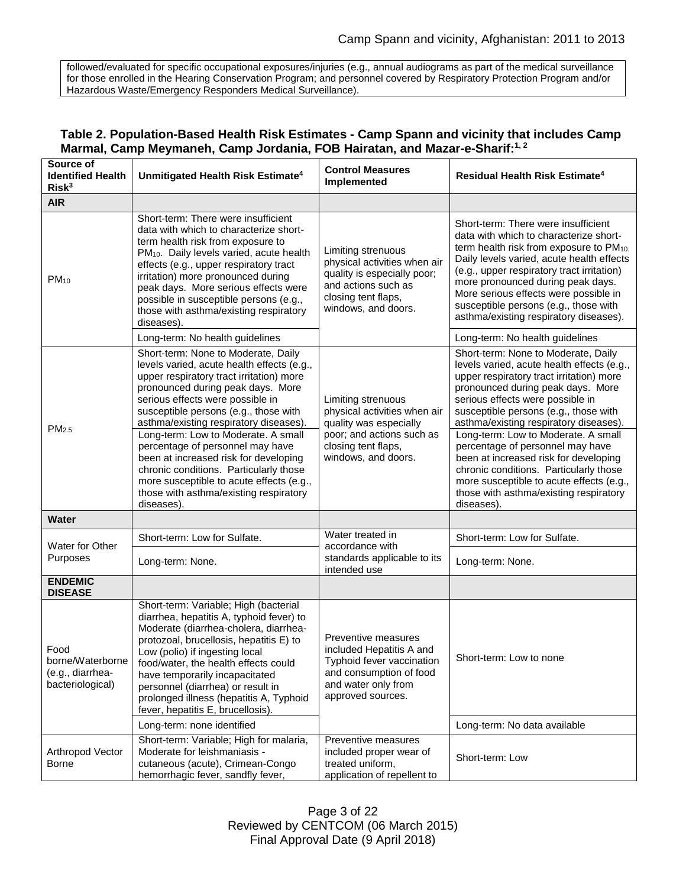followed/evaluated for specific occupational exposures/injuries (e.g., annual audiograms as part of the medical surveillance for those enrolled in the Hearing Conservation Program; and personnel covered by Respiratory Protection Program and/or Hazardous Waste/Emergency Responders Medical Surveillance).

| Source of<br><b>Identified Health</b><br>Risk <sup>3</sup>       | Unmitigated Health Risk Estimate <sup>4</sup>                                                                                                                                                                                                                                                                                                                                                                                                                                                                                                 | <b>Control Measures</b><br><b>Implemented</b>                                                                                                           | <b>Residual Health Risk Estimate<sup>4</sup></b>                                                                                                                                                                                                                                                                                                                                                                                                                                                                                              |
|------------------------------------------------------------------|-----------------------------------------------------------------------------------------------------------------------------------------------------------------------------------------------------------------------------------------------------------------------------------------------------------------------------------------------------------------------------------------------------------------------------------------------------------------------------------------------------------------------------------------------|---------------------------------------------------------------------------------------------------------------------------------------------------------|-----------------------------------------------------------------------------------------------------------------------------------------------------------------------------------------------------------------------------------------------------------------------------------------------------------------------------------------------------------------------------------------------------------------------------------------------------------------------------------------------------------------------------------------------|
| <b>AIR</b>                                                       |                                                                                                                                                                                                                                                                                                                                                                                                                                                                                                                                               |                                                                                                                                                         |                                                                                                                                                                                                                                                                                                                                                                                                                                                                                                                                               |
| $PM_{10}$                                                        | Short-term: There were insufficient<br>data with which to characterize short-<br>term health risk from exposure to<br>PM <sub>10</sub> . Daily levels varied, acute health<br>effects (e.g., upper respiratory tract<br>irritation) more pronounced during<br>peak days. More serious effects were<br>possible in susceptible persons (e.g.,<br>those with asthma/existing respiratory<br>diseases).                                                                                                                                          | Limiting strenuous<br>physical activities when air<br>quality is especially poor;<br>and actions such as<br>closing tent flaps,<br>windows, and doors.  | Short-term: There were insufficient<br>data with which to characterize short-<br>term health risk from exposure to PM <sub>10</sub> .<br>Daily levels varied, acute health effects<br>(e.g., upper respiratory tract irritation)<br>more pronounced during peak days.<br>More serious effects were possible in<br>susceptible persons (e.g., those with<br>asthma/existing respiratory diseases).                                                                                                                                             |
|                                                                  | Long-term: No health guidelines                                                                                                                                                                                                                                                                                                                                                                                                                                                                                                               |                                                                                                                                                         | Long-term: No health guidelines                                                                                                                                                                                                                                                                                                                                                                                                                                                                                                               |
| PM <sub>2.5</sub>                                                | Short-term: None to Moderate, Daily<br>levels varied, acute health effects (e.g.,<br>upper respiratory tract irritation) more<br>pronounced during peak days. More<br>serious effects were possible in<br>susceptible persons (e.g., those with<br>asthma/existing respiratory diseases).<br>Long-term: Low to Moderate. A small<br>percentage of personnel may have<br>been at increased risk for developing<br>chronic conditions. Particularly those<br>more susceptible to acute effects (e.g.,<br>those with asthma/existing respiratory | Limiting strenuous<br>physical activities when air<br>quality was especially<br>poor; and actions such as<br>closing tent flaps,<br>windows, and doors. | Short-term: None to Moderate, Daily<br>levels varied, acute health effects (e.g.,<br>upper respiratory tract irritation) more<br>pronounced during peak days. More<br>serious effects were possible in<br>susceptible persons (e.g., those with<br>asthma/existing respiratory diseases).<br>Long-term: Low to Moderate. A small<br>percentage of personnel may have<br>been at increased risk for developing<br>chronic conditions. Particularly those<br>more susceptible to acute effects (e.g.,<br>those with asthma/existing respiratory |
|                                                                  | diseases).                                                                                                                                                                                                                                                                                                                                                                                                                                                                                                                                    |                                                                                                                                                         | diseases).                                                                                                                                                                                                                                                                                                                                                                                                                                                                                                                                    |
| <b>Water</b>                                                     |                                                                                                                                                                                                                                                                                                                                                                                                                                                                                                                                               |                                                                                                                                                         |                                                                                                                                                                                                                                                                                                                                                                                                                                                                                                                                               |
| Water for Other                                                  | Short-term: Low for Sulfate.                                                                                                                                                                                                                                                                                                                                                                                                                                                                                                                  | Water treated in<br>accordance with                                                                                                                     | Short-term: Low for Sulfate.                                                                                                                                                                                                                                                                                                                                                                                                                                                                                                                  |
| Purposes                                                         | Long-term: None.                                                                                                                                                                                                                                                                                                                                                                                                                                                                                                                              | standards applicable to its<br>intended use                                                                                                             | Long-term: None.                                                                                                                                                                                                                                                                                                                                                                                                                                                                                                                              |
| <b>ENDEMIC</b><br><b>DISEASE</b>                                 |                                                                                                                                                                                                                                                                                                                                                                                                                                                                                                                                               |                                                                                                                                                         |                                                                                                                                                                                                                                                                                                                                                                                                                                                                                                                                               |
| Food<br>borne/Waterborne<br>(e.g., diarrhea-<br>bacteriological) | Short-term: Variable; High (bacterial<br>diarrhea, hepatitis A, typhoid fever) to<br>Moderate (diarrhea-cholera, diarrhea-<br>protozoal, brucellosis, hepatitis E) to<br>Low (polio) if ingesting local<br>food/water, the health effects could<br>have temporarily incapacitated<br>personnel (diarrhea) or result in<br>prolonged illness (hepatitis A, Typhoid<br>fever, hepatitis E, brucellosis)                                                                                                                                         | Preventive measures<br>included Hepatitis A and<br>Typhoid fever vaccination<br>and consumption of food<br>and water only from<br>approved sources.     | Short-term: Low to none                                                                                                                                                                                                                                                                                                                                                                                                                                                                                                                       |
|                                                                  | Long-term: none identified                                                                                                                                                                                                                                                                                                                                                                                                                                                                                                                    |                                                                                                                                                         | Long-term: No data available                                                                                                                                                                                                                                                                                                                                                                                                                                                                                                                  |
| Arthropod Vector<br><b>Borne</b>                                 | Short-term: Variable; High for malaria,<br>Moderate for leishmaniasis -<br>cutaneous (acute), Crimean-Congo<br>hemorrhagic fever, sandfly fever,                                                                                                                                                                                                                                                                                                                                                                                              | Preventive measures<br>included proper wear of<br>treated uniform,<br>application of repellent to                                                       | Short-term: Low                                                                                                                                                                                                                                                                                                                                                                                                                                                                                                                               |

### **Table 2. Population-Based Health Risk Estimates - Camp Spann and vicinity that includes Camp Marmal, Camp Meymaneh, Camp Jordania, FOB Hairatan, and Mazar-e-Sharif: 1, 2**

Page 3 of 22 Reviewed by CENTCOM (06 March 2015) Final Approval Date (9 April 2018)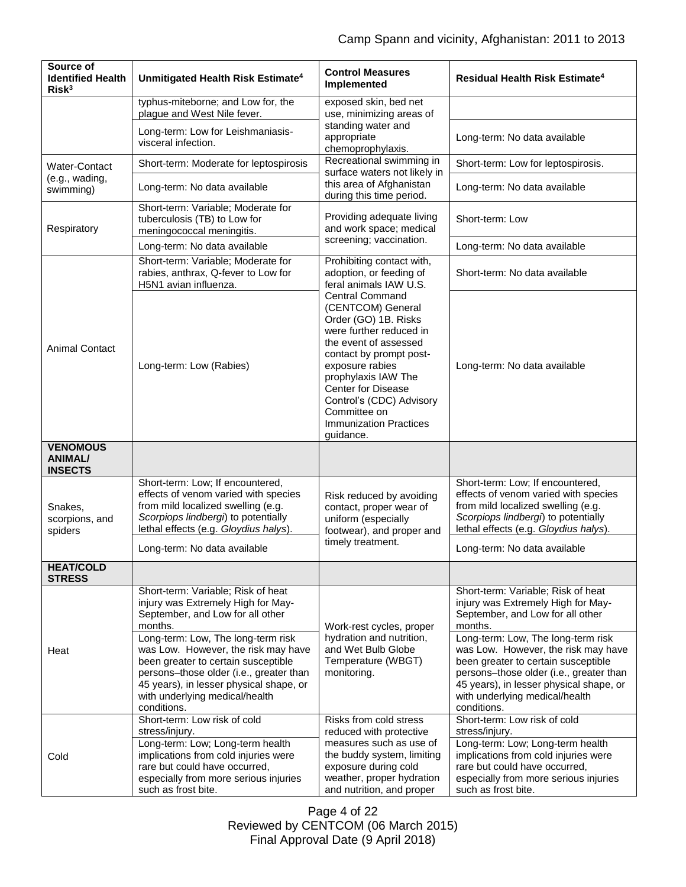| Source of<br><b>Identified Health</b><br>Risk <sup>3</sup> | Unmitigated Health Risk Estimate <sup>4</sup>                                                                                                                                                                                  | <b>Control Measures</b><br>Implemented                                                                                                                                                                                                                                                                       | Residual Health Risk Estimate <sup>4</sup>                                                                                                                                                                                     |
|------------------------------------------------------------|--------------------------------------------------------------------------------------------------------------------------------------------------------------------------------------------------------------------------------|--------------------------------------------------------------------------------------------------------------------------------------------------------------------------------------------------------------------------------------------------------------------------------------------------------------|--------------------------------------------------------------------------------------------------------------------------------------------------------------------------------------------------------------------------------|
|                                                            | typhus-miteborne; and Low for, the<br>plague and West Nile fever.                                                                                                                                                              | exposed skin, bed net<br>use, minimizing areas of<br>standing water and<br>appropriate<br>chemoprophylaxis.                                                                                                                                                                                                  |                                                                                                                                                                                                                                |
|                                                            | Long-term: Low for Leishmaniasis-<br>visceral infection.                                                                                                                                                                       |                                                                                                                                                                                                                                                                                                              | Long-term: No data available                                                                                                                                                                                                   |
| <b>Water-Contact</b><br>(e.g., wading,<br>swimming)        | Short-term: Moderate for leptospirosis                                                                                                                                                                                         | Recreational swimming in<br>surface waters not likely in<br>this area of Afghanistan<br>during this time period.                                                                                                                                                                                             | Short-term: Low for leptospirosis.                                                                                                                                                                                             |
|                                                            | Long-term: No data available                                                                                                                                                                                                   |                                                                                                                                                                                                                                                                                                              | Long-term: No data available                                                                                                                                                                                                   |
| Respiratory                                                | Short-term: Variable; Moderate for<br>tuberculosis (TB) to Low for<br>meningococcal meningitis.                                                                                                                                | Providing adequate living<br>and work space; medical<br>screening; vaccination.                                                                                                                                                                                                                              | Short-term: Low                                                                                                                                                                                                                |
|                                                            | Long-term: No data available                                                                                                                                                                                                   |                                                                                                                                                                                                                                                                                                              | Long-term: No data available                                                                                                                                                                                                   |
|                                                            | Short-term: Variable; Moderate for<br>rabies, anthrax, Q-fever to Low for<br>H5N1 avian influenza.                                                                                                                             | Prohibiting contact with,<br>adoption, or feeding of<br>feral animals IAW U.S.                                                                                                                                                                                                                               | Short-term: No data available                                                                                                                                                                                                  |
| <b>Animal Contact</b>                                      | Long-term: Low (Rabies)                                                                                                                                                                                                        | <b>Central Command</b><br>(CENTCOM) General<br>Order (GO) 1B. Risks<br>were further reduced in<br>the event of assessed<br>contact by prompt post-<br>exposure rabies<br>prophylaxis IAW The<br>Center for Disease<br>Control's (CDC) Advisory<br>Committee on<br><b>Immunization Practices</b><br>guidance. | Long-term: No data available                                                                                                                                                                                                   |
| <b>VENOMOUS</b><br><b>ANIMAL/</b><br><b>INSECTS</b>        |                                                                                                                                                                                                                                |                                                                                                                                                                                                                                                                                                              |                                                                                                                                                                                                                                |
| Snakes,<br>scorpions, and<br>spiders                       | Short-term: Low; If encountered,<br>effects of venom varied with species<br>from mild localized swelling (e.g.<br>Scorpiops lindbergi) to potentially<br>lethal effects (e.g. Gloydius halys).<br>Long-term: No data available | Risk reduced by avoiding<br>contact, proper wear of<br>uniform (especially<br>footwear), and proper and<br>timely treatment.                                                                                                                                                                                 | Short-term: Low; If encountered,<br>effects of venom varied with species<br>from mild localized swelling (e.g.<br>Scorpiops lindbergi) to potentially<br>lethal effects (e.g. Gloydius halys).<br>Long-term: No data available |
| <b>HEAT/COLD</b><br><b>STRESS</b>                          |                                                                                                                                                                                                                                |                                                                                                                                                                                                                                                                                                              |                                                                                                                                                                                                                                |
| Heat                                                       | Short-term: Variable; Risk of heat<br>injury was Extremely High for May-<br>September, and Low for all other<br>months.<br>Long-term: Low, The long-term risk                                                                  | Work-rest cycles, proper<br>hydration and nutrition,<br>and Wet Bulb Globe<br>Temperature (WBGT)<br>monitoring.                                                                                                                                                                                              | Short-term: Variable; Risk of heat<br>injury was Extremely High for May-<br>September, and Low for all other<br>months.<br>Long-term: Low, The long-term risk                                                                  |
|                                                            | was Low. However, the risk may have<br>been greater to certain susceptible<br>persons-those older (i.e., greater than<br>45 years), in lesser physical shape, or<br>with underlying medical/health<br>conditions.              |                                                                                                                                                                                                                                                                                                              | was Low. However, the risk may have<br>been greater to certain susceptible<br>persons-those older (i.e., greater than<br>45 years), in lesser physical shape, or<br>with underlying medical/health<br>conditions.              |
|                                                            | Short-term: Low risk of cold<br>stress/injury.                                                                                                                                                                                 | Risks from cold stress<br>reduced with protective                                                                                                                                                                                                                                                            | Short-term: Low risk of cold<br>stress/injury.                                                                                                                                                                                 |
| Cold                                                       | Long-term: Low; Long-term health<br>implications from cold injuries were<br>rare but could have occurred,<br>especially from more serious injuries<br>such as frost bite.                                                      | measures such as use of<br>the buddy system, limiting<br>exposure during cold<br>weather, proper hydration<br>and nutrition, and proper                                                                                                                                                                      | Long-term: Low; Long-term health<br>implications from cold injuries were<br>rare but could have occurred,<br>especially from more serious injuries<br>such as frost bite.                                                      |
|                                                            |                                                                                                                                                                                                                                |                                                                                                                                                                                                                                                                                                              |                                                                                                                                                                                                                                |

Page 4 of 22 Reviewed by CENTCOM (06 March 2015) Final Approval Date (9 April 2018)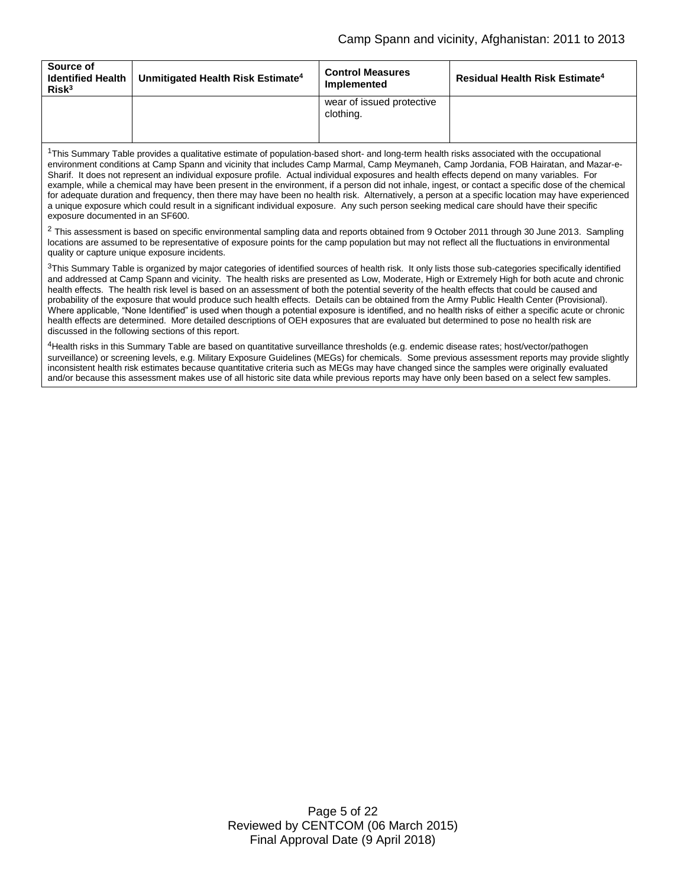| Source of<br><b>Identified Health</b><br>Risk <sup>3</sup> | Unmitigated Health Risk Estimate <sup>4</sup> | <b>Control Measures</b><br>Implemented | <b>Residual Health Risk Estimate<sup>4</sup></b> |
|------------------------------------------------------------|-----------------------------------------------|----------------------------------------|--------------------------------------------------|
|                                                            |                                               | wear of issued protective<br>clothing. |                                                  |

<sup>1</sup>This Summary Table provides a qualitative estimate of population-based short- and long-term health risks associated with the occupational environment conditions at Camp Spann and vicinity that includes Camp Marmal, Camp Meymaneh, Camp Jordania, FOB Hairatan, and Mazar-e-Sharif. It does not represent an individual exposure profile. Actual individual exposures and health effects depend on many variables. For example, while a chemical may have been present in the environment, if a person did not inhale, ingest, or contact a specific dose of the chemical for adequate duration and frequency, then there may have been no health risk. Alternatively, a person at a specific location may have experienced a unique exposure which could result in a significant individual exposure. Any such person seeking medical care should have their specific exposure documented in an SF600.

 $2$  This assessment is based on specific environmental sampling data and reports obtained from 9 October 2011 through 30 June 2013. Sampling locations are assumed to be representative of exposure points for the camp population but may not reflect all the fluctuations in environmental quality or capture unique exposure incidents.

<sup>3</sup>This Summary Table is organized by major categories of identified sources of health risk. It only lists those sub-categories specifically identified and addressed at Camp Spann and vicinity. The health risks are presented as Low, Moderate, High or Extremely High for both acute and chronic health effects. The health risk level is based on an assessment of both the potential severity of the health effects that could be caused and probability of the exposure that would produce such health effects. Details can be obtained from the Army Public Health Center (Provisional). Where applicable, "None Identified" is used when though a potential exposure is identified, and no health risks of either a specific acute or chronic health effects are determined. More detailed descriptions of OEH exposures that are evaluated but determined to pose no health risk are discussed in the following sections of this report.

<sup>4</sup>Health risks in this Summary Table are based on quantitative surveillance thresholds (e.g. endemic disease rates; host/vector/pathogen surveillance) or screening levels, e.g. Military Exposure Guidelines (MEGs) for chemicals*.* Some previous assessment reports may provide slightly inconsistent health risk estimates because quantitative criteria such as MEGs may have changed since the samples were originally evaluated and/or because this assessment makes use of all historic site data while previous reports may have only been based on a select few samples.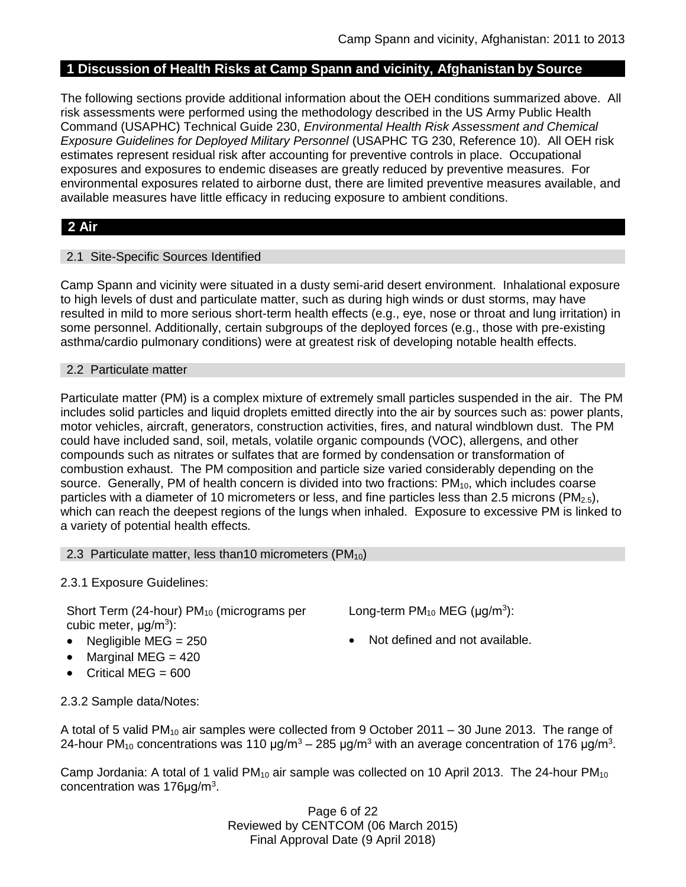# **1 Discussion of Health Risks at Camp Spann and vicinity, Afghanistan by Source**

The following sections provide additional information about the OEH conditions summarized above. All risk assessments were performed using the methodology described in the US Army Public Health Command (USAPHC) Technical Guide 230, *Environmental Health Risk Assessment and Chemical Exposure Guidelines for Deployed Military Personnel* (USAPHC TG 230, Reference 10). All OEH risk estimates represent residual risk after accounting for preventive controls in place. Occupational exposures and exposures to endemic diseases are greatly reduced by preventive measures. For environmental exposures related to airborne dust, there are limited preventive measures available, and available measures have little efficacy in reducing exposure to ambient conditions.

# **2 Air**

### 2.1 Site-Specific Sources Identified

Camp Spann and vicinity were situated in a dusty semi-arid desert environment. Inhalational exposure to high levels of dust and particulate matter, such as during high winds or dust storms, may have resulted in mild to more serious short-term health effects (e.g., eye, nose or throat and lung irritation) in some personnel. Additionally, certain subgroups of the deployed forces (e.g., those with pre-existing asthma/cardio pulmonary conditions) were at greatest risk of developing notable health effects.

### 2.2 Particulate matter

Particulate matter (PM) is a complex mixture of extremely small particles suspended in the air. The PM includes solid particles and liquid droplets emitted directly into the air by sources such as: power plants, motor vehicles, aircraft, generators, construction activities, fires, and natural windblown dust. The PM could have included sand, soil, metals, volatile organic compounds (VOC), allergens, and other compounds such as nitrates or sulfates that are formed by condensation or transformation of combustion exhaust. The PM composition and particle size varied considerably depending on the source. Generally, PM of health concern is divided into two fractions:  $PM_{10}$ , which includes coarse particles with a diameter of 10 micrometers or less, and fine particles less than 2.5 microns ( $PM_{2.5}$ ), which can reach the deepest regions of the lungs when inhaled. Exposure to excessive PM is linked to a variety of potential health effects.

### 2.3 Particulate matter, less than10 micrometers (PM<sub>10</sub>)

2.3.1 Exposure Guidelines:

Short Term (24-hour)  $PM_{10}$  (micrograms per cubic meter, μg/m<sup>3</sup>):

- 
- $\bullet$  Marginal MEG = 420
- Critical MEG =  $600$
- Long-term  $PM_{10}$  MEG ( $\mu$ g/m<sup>3</sup>):
- Negligible MEG = 250 **a** Not defined and not available.

2.3.2 Sample data/Notes:

A total of 5 valid PM<sub>10</sub> air samples were collected from 9 October 2011 – 30 June 2013. The range of 24-hour PM<sub>10</sub> concentrations was 110 μg/m<sup>3</sup> – 285 μg/m<sup>3</sup> with an average concentration of 176 μg/m<sup>3</sup>.

Camp Jordania: A total of 1 valid PM<sub>10</sub> air sample was collected on 10 April 2013. The 24-hour PM<sub>10</sub> concentration was 176μg/m<sup>3</sup>.

> Page 6 of 22 Reviewed by CENTCOM (06 March 2015) Final Approval Date (9 April 2018)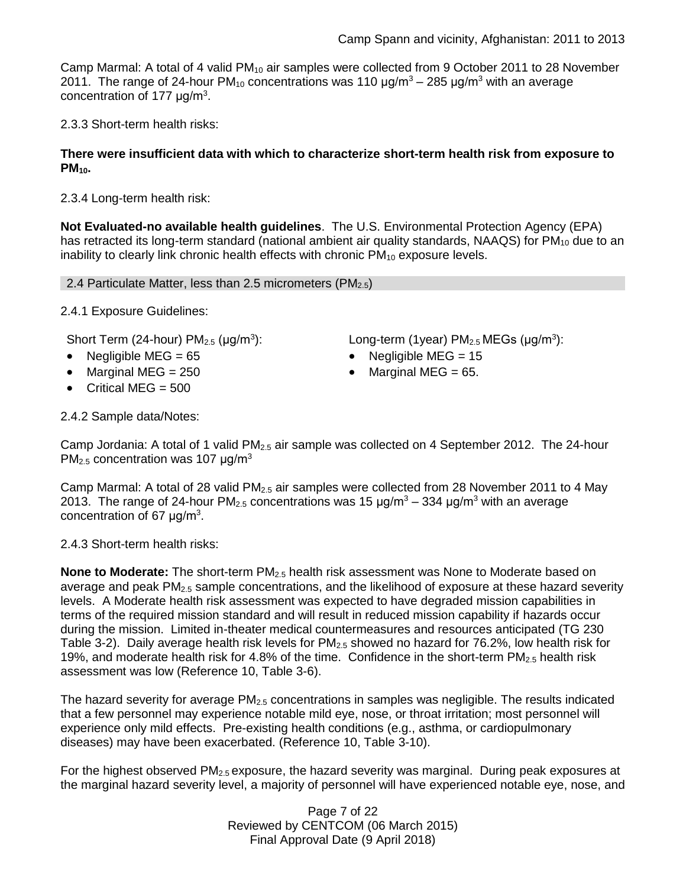Camp Marmal: A total of 4 valid  $PM_{10}$  air samples were collected from 9 October 2011 to 28 November 2011. The range of 24-hour PM<sub>10</sub> concentrations was 110  $\mu$ g/m<sup>3</sup> – 285  $\mu$ g/m<sup>3</sup> with an average concentration of 177  $\mu$ g/m<sup>3</sup>.

2.3.3 Short-term health risks:

### **There were insufficient data with which to characterize short-term health risk from exposure to PM10.**

2.3.4 Long-term health risk:

**Not Evaluated-no available health guidelines**. The U.S. Environmental Protection Agency (EPA) has retracted its long-term standard (national ambient air quality standards, NAAQS) for  $PM_{10}$  due to an inability to clearly link chronic health effects with chronic  $PM_{10}$  exposure levels.

2.4 Particulate Matter, less than 2.5 micrometers ( $PM<sub>2.5</sub>$ )

2.4.1 Exposure Guidelines:

Short Term (24-hour)  $PM<sub>2.5</sub>$  ( $\mu$ g/m<sup>3</sup>):

- 
- Marginal MEG =  $250$  Marginal MEG =  $65$ .
- $\bullet$  Critical MEG = 500

):  $Long-term (1year) PM<sub>2.5</sub> MEGs (µg/m<sup>3</sup>):$ 

- Negligible MEG = 65 Negligible MEG = 15
	-

2.4.2 Sample data/Notes:

Camp Jordania: A total of 1 valid  $PM_{2.5}$  air sample was collected on 4 September 2012. The 24-hour  $PM<sub>2.5</sub> concentration was 107  $\mu$ g/m<sup>3</sup>$ 

Camp Marmal: A total of 28 valid  $PM_{2.5}$  air samples were collected from 28 November 2011 to 4 May 2013. The range of 24-hour PM<sub>2.5</sub> concentrations was 15  $\mu q/m^3 - 334 \mu q/m^3$  with an average concentration of 67  $\mu$ g/m<sup>3</sup>.

2.4.3 Short-term health risks:

**None to Moderate:** The short-term PM2.5 health risk assessment was None to Moderate based on average and peak  $PM<sub>2.5</sub>$  sample concentrations, and the likelihood of exposure at these hazard severity levels. A Moderate health risk assessment was expected to have degraded mission capabilities in terms of the required mission standard and will result in reduced mission capability if hazards occur during the mission. Limited in-theater medical countermeasures and resources anticipated (TG 230 Table 3-2). Daily average health risk levels for PM<sub>2.5</sub> showed no hazard for 76.2%, low health risk for 19%, and moderate health risk for 4.8% of the time. Confidence in the short-term  $PM_{2.5}$  health risk assessment was low (Reference 10, Table 3-6).

The hazard severity for average  $PM_{2.5}$  concentrations in samples was negligible. The results indicated that a few personnel may experience notable mild eye, nose, or throat irritation; most personnel will experience only mild effects. Pre-existing health conditions (e.g., asthma, or cardiopulmonary diseases) may have been exacerbated. (Reference 10, Table 3-10).

For the highest observed PM<sub>2.5</sub> exposure, the hazard severity was marginal. During peak exposures at the marginal hazard severity level, a majority of personnel will have experienced notable eye, nose, and

> Page 7 of 22 Reviewed by CENTCOM (06 March 2015) Final Approval Date (9 April 2018)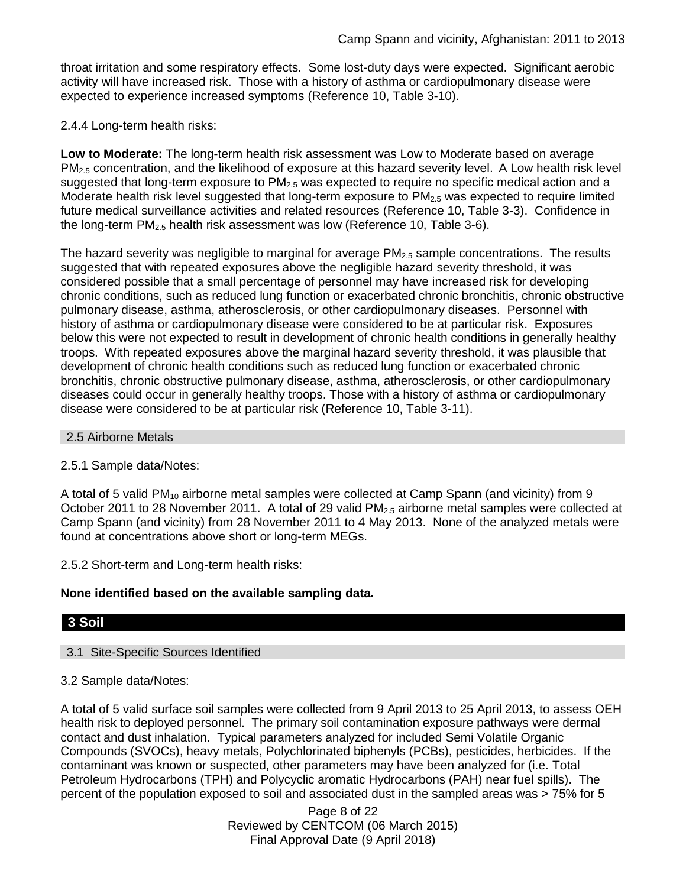throat irritation and some respiratory effects. Some lost-duty days were expected. Significant aerobic activity will have increased risk. Those with a history of asthma or cardiopulmonary disease were expected to experience increased symptoms (Reference 10, Table 3-10).

### 2.4.4 Long-term health risks:

**Low to Moderate:** The long-term health risk assessment was Low to Moderate based on average PM<sub>2.5</sub> concentration, and the likelihood of exposure at this hazard severity level. A Low health risk level suggested that long-term exposure to  $PM<sub>2.5</sub>$  was expected to require no specific medical action and a Moderate health risk level suggested that long-term exposure to PM<sub>2.5</sub> was expected to require limited future medical surveillance activities and related resources (Reference 10, Table 3-3). Confidence in the long-term  $PM_{2.5}$  health risk assessment was low (Reference 10, Table 3-6).

The hazard severity was negligible to marginal for average PM<sub>2.5</sub> sample concentrations. The results suggested that with repeated exposures above the negligible hazard severity threshold, it was considered possible that a small percentage of personnel may have increased risk for developing chronic conditions, such as reduced lung function or exacerbated chronic bronchitis, chronic obstructive pulmonary disease, asthma, atherosclerosis, or other cardiopulmonary diseases. Personnel with history of asthma or cardiopulmonary disease were considered to be at particular risk. Exposures below this were not expected to result in development of chronic health conditions in generally healthy troops. With repeated exposures above the marginal hazard severity threshold, it was plausible that development of chronic health conditions such as reduced lung function or exacerbated chronic bronchitis, chronic obstructive pulmonary disease, asthma, atherosclerosis, or other cardiopulmonary diseases could occur in generally healthy troops. Those with a history of asthma or cardiopulmonary disease were considered to be at particular risk (Reference 10, Table 3-11).

### 2.5 Airborne Metals

### 2.5.1 Sample data/Notes:

A total of 5 valid  $PM_{10}$  airborne metal samples were collected at Camp Spann (and vicinity) from 9 October 2011 to 28 November 2011. A total of 29 valid PM<sub>2.5</sub> airborne metal samples were collected at Camp Spann (and vicinity) from 28 November 2011 to 4 May 2013. None of the analyzed metals were found at concentrations above short or long-term MEGs.

2.5.2 Short-term and Long-term health risks:

### **None identified based on the available sampling data.**

# **3 Soil**

# 3.1 Site-Specific Sources Identified

### 3.2 Sample data/Notes:

A total of 5 valid surface soil samples were collected from 9 April 2013 to 25 April 2013, to assess OEH health risk to deployed personnel. The primary soil contamination exposure pathways were dermal contact and dust inhalation. Typical parameters analyzed for included Semi Volatile Organic Compounds (SVOCs), heavy metals, Polychlorinated biphenyls (PCBs), pesticides, herbicides. If the contaminant was known or suspected, other parameters may have been analyzed for (i.e. Total Petroleum Hydrocarbons (TPH) and Polycyclic aromatic Hydrocarbons (PAH) near fuel spills). The percent of the population exposed to soil and associated dust in the sampled areas was > 75% for 5

> Page 8 of 22 Reviewed by CENTCOM (06 March 2015) Final Approval Date (9 April 2018)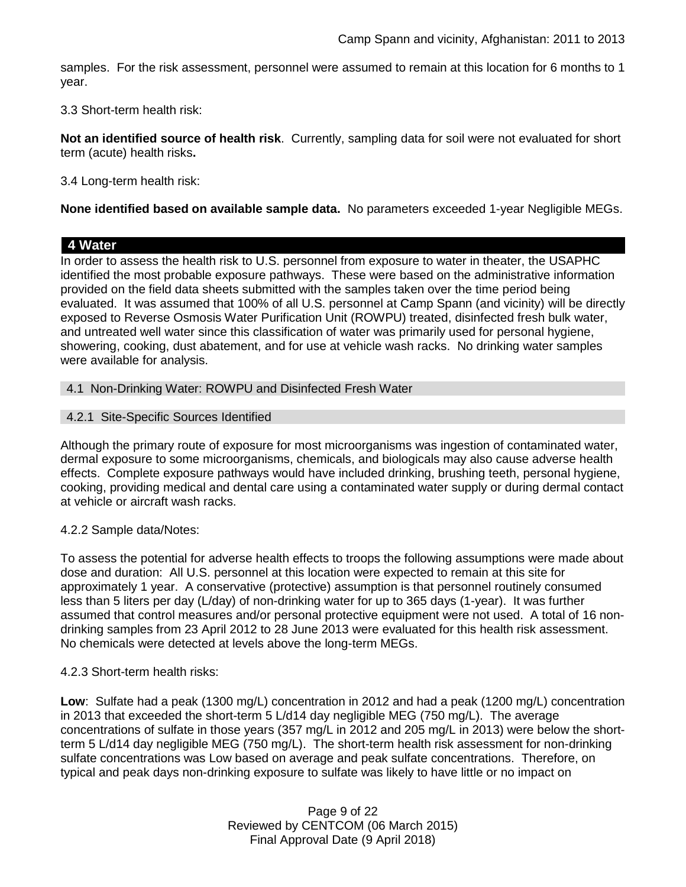samples. For the risk assessment, personnel were assumed to remain at this location for 6 months to 1 year.

3.3 Short-term health risk:

**Not an identified source of health risk**. Currently, sampling data for soil were not evaluated for short term (acute) health risks**.**

3.4 Long-term health risk:

**None identified based on available sample data.** No parameters exceeded 1-year Negligible MEGs.

### **4 Water**

In order to assess the health risk to U.S. personnel from exposure to water in theater, the USAPHC identified the most probable exposure pathways. These were based on the administrative information provided on the field data sheets submitted with the samples taken over the time period being evaluated. It was assumed that 100% of all U.S. personnel at Camp Spann (and vicinity) will be directly exposed to Reverse Osmosis Water Purification Unit (ROWPU) treated, disinfected fresh bulk water, and untreated well water since this classification of water was primarily used for personal hygiene, showering, cooking, dust abatement, and for use at vehicle wash racks. No drinking water samples were available for analysis.

### 4.1 Non-Drinking Water: ROWPU and Disinfected Fresh Water

#### 4.2.1 Site-Specific Sources Identified

Although the primary route of exposure for most microorganisms was ingestion of contaminated water, dermal exposure to some microorganisms, chemicals, and biologicals may also cause adverse health effects. Complete exposure pathways would have included drinking, brushing teeth, personal hygiene, cooking, providing medical and dental care using a contaminated water supply or during dermal contact at vehicle or aircraft wash racks.

### 4.2.2 Sample data/Notes:

To assess the potential for adverse health effects to troops the following assumptions were made about dose and duration: All U.S. personnel at this location were expected to remain at this site for approximately 1 year. A conservative (protective) assumption is that personnel routinely consumed less than 5 liters per day (L/day) of non-drinking water for up to 365 days (1-year). It was further assumed that control measures and/or personal protective equipment were not used. A total of 16 nondrinking samples from 23 April 2012 to 28 June 2013 were evaluated for this health risk assessment. No chemicals were detected at levels above the long-term MEGs.

#### 4.2.3 Short-term health risks:

**Low**: Sulfate had a peak (1300 mg/L) concentration in 2012 and had a peak (1200 mg/L) concentration in 2013 that exceeded the short-term 5 L/d14 day negligible MEG (750 mg/L). The average concentrations of sulfate in those years (357 mg/L in 2012 and 205 mg/L in 2013) were below the shortterm 5 L/d14 day negligible MEG (750 mg/L). The short-term health risk assessment for non-drinking sulfate concentrations was Low based on average and peak sulfate concentrations. Therefore, on typical and peak days non-drinking exposure to sulfate was likely to have little or no impact on

> Page 9 of 22 Reviewed by CENTCOM (06 March 2015) Final Approval Date (9 April 2018)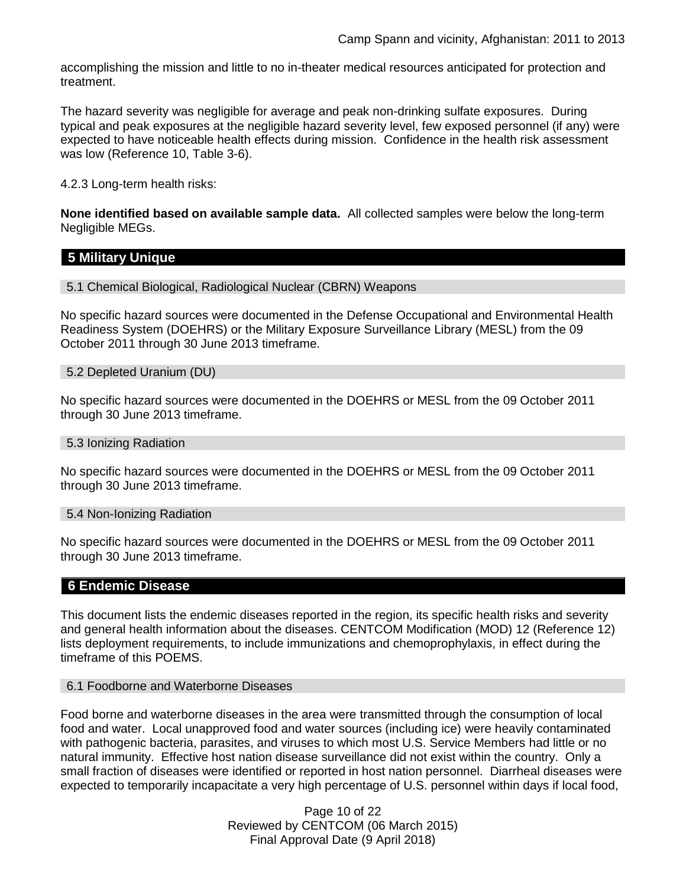accomplishing the mission and little to no in-theater medical resources anticipated for protection and treatment.

The hazard severity was negligible for average and peak non-drinking sulfate exposures. During typical and peak exposures at the negligible hazard severity level, few exposed personnel (if any) were expected to have noticeable health effects during mission. Confidence in the health risk assessment was low (Reference 10, Table 3-6).

4.2.3 Long-term health risks:

**None identified based on available sample data.** All collected samples were below the long-term Negligible MEGs.

# **5 Military Unique**

5.1 Chemical Biological, Radiological Nuclear (CBRN) Weapons

No specific hazard sources were documented in the Defense Occupational and Environmental Health Readiness System (DOEHRS) or the Military Exposure Surveillance Library (MESL) from the 09 October 2011 through 30 June 2013 timeframe.

#### 5.2 Depleted Uranium (DU)

No specific hazard sources were documented in the DOEHRS or MESL from the 09 October 2011 through 30 June 2013 timeframe.

#### 5.3 Ionizing Radiation

No specific hazard sources were documented in the DOEHRS or MESL from the 09 October 2011 through 30 June 2013 timeframe.

#### 5.4 Non-Ionizing Radiation

No specific hazard sources were documented in the DOEHRS or MESL from the 09 October 2011 through 30 June 2013 timeframe.

### **6 Endemic Disease**

This document lists the endemic diseases reported in the region, its specific health risks and severity and general health information about the diseases. CENTCOM Modification (MOD) 12 (Reference 12) lists deployment requirements, to include immunizations and chemoprophylaxis, in effect during the timeframe of this POEMS.

#### 6.1 Foodborne and Waterborne Diseases

Food borne and waterborne diseases in the area were transmitted through the consumption of local food and water. Local unapproved food and water sources (including ice) were heavily contaminated with pathogenic bacteria, parasites, and viruses to which most U.S. Service Members had little or no natural immunity. Effective host nation disease surveillance did not exist within the country. Only a small fraction of diseases were identified or reported in host nation personnel. Diarrheal diseases were expected to temporarily incapacitate a very high percentage of U.S. personnel within days if local food,

> Page 10 of 22 Reviewed by CENTCOM (06 March 2015) Final Approval Date (9 April 2018)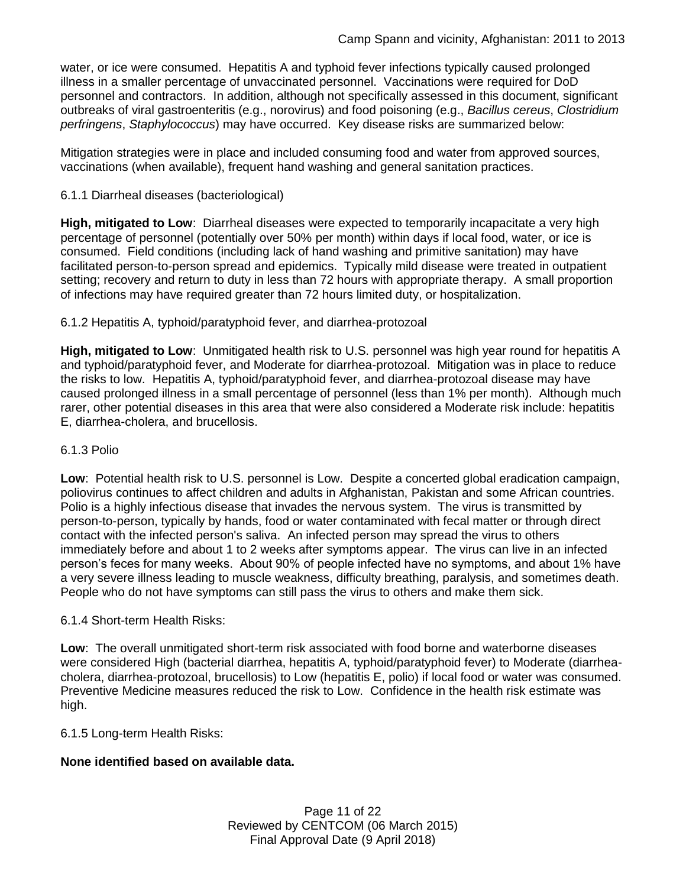water, or ice were consumed. Hepatitis A and typhoid fever infections typically caused prolonged illness in a smaller percentage of unvaccinated personnel. Vaccinations were required for DoD personnel and contractors. In addition, although not specifically assessed in this document, significant outbreaks of viral gastroenteritis (e.g., norovirus) and food poisoning (e.g., *Bacillus cereus*, *Clostridium perfringens*, *Staphylococcus*) may have occurred. Key disease risks are summarized below:

Mitigation strategies were in place and included consuming food and water from approved sources, vaccinations (when available), frequent hand washing and general sanitation practices.

### 6.1.1 Diarrheal diseases (bacteriological)

**High, mitigated to Low**: Diarrheal diseases were expected to temporarily incapacitate a very high percentage of personnel (potentially over 50% per month) within days if local food, water, or ice is consumed. Field conditions (including lack of hand washing and primitive sanitation) may have facilitated person-to-person spread and epidemics. Typically mild disease were treated in outpatient setting; recovery and return to duty in less than 72 hours with appropriate therapy. A small proportion of infections may have required greater than 72 hours limited duty, or hospitalization.

### 6.1.2 Hepatitis A, typhoid/paratyphoid fever, and diarrhea-protozoal

**High, mitigated to Low**: Unmitigated health risk to U.S. personnel was high year round for hepatitis A and typhoid/paratyphoid fever, and Moderate for diarrhea-protozoal. Mitigation was in place to reduce the risks to low. Hepatitis A, typhoid/paratyphoid fever, and diarrhea-protozoal disease may have caused prolonged illness in a small percentage of personnel (less than 1% per month). Although much rarer, other potential diseases in this area that were also considered a Moderate risk include: hepatitis E, diarrhea-cholera, and brucellosis.

#### 6.1.3 Polio

**Low**: Potential health risk to U.S. personnel is Low. Despite a concerted global eradication campaign, poliovirus continues to affect children and adults in Afghanistan, Pakistan and some African countries. Polio is a highly infectious disease that invades the nervous system. The virus is transmitted by person-to-person, typically by hands, food or water contaminated with fecal matter or through direct contact with the infected person's saliva. An infected person may spread the virus to others immediately before and about 1 to 2 weeks after symptoms appear. The virus can live in an infected person's feces for many weeks. About 90% of people infected have no symptoms, and about 1% have a very severe illness leading to muscle weakness, difficulty breathing, paralysis, and sometimes death. People who do not have symptoms can still pass the virus to others and make them sick.

#### 6.1.4 Short-term Health Risks:

**Low**: The overall unmitigated short-term risk associated with food borne and waterborne diseases were considered High (bacterial diarrhea, hepatitis A, typhoid/paratyphoid fever) to Moderate (diarrheacholera, diarrhea-protozoal, brucellosis) to Low (hepatitis E, polio) if local food or water was consumed. Preventive Medicine measures reduced the risk to Low. Confidence in the health risk estimate was high.

6.1.5 Long-term Health Risks:

### **None identified based on available data.**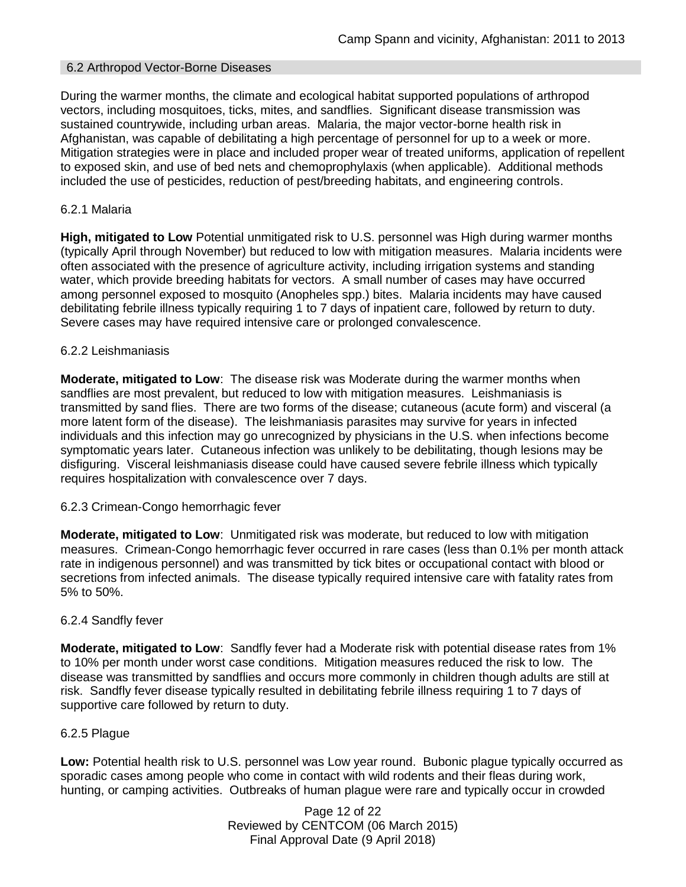#### 6.2 Arthropod Vector-Borne Diseases

During the warmer months, the climate and ecological habitat supported populations of arthropod vectors, including mosquitoes, ticks, mites, and sandflies. Significant disease transmission was sustained countrywide, including urban areas. Malaria, the major vector-borne health risk in Afghanistan, was capable of debilitating a high percentage of personnel for up to a week or more. Mitigation strategies were in place and included proper wear of treated uniforms, application of repellent to exposed skin, and use of bed nets and chemoprophylaxis (when applicable). Additional methods included the use of pesticides, reduction of pest/breeding habitats, and engineering controls.

### 6.2.1 Malaria

**High, mitigated to Low** Potential unmitigated risk to U.S. personnel was High during warmer months (typically April through November) but reduced to low with mitigation measures. Malaria incidents were often associated with the presence of agriculture activity, including irrigation systems and standing water, which provide breeding habitats for vectors. A small number of cases may have occurred among personnel exposed to mosquito (Anopheles spp.) bites. Malaria incidents may have caused debilitating febrile illness typically requiring 1 to 7 days of inpatient care, followed by return to duty. Severe cases may have required intensive care or prolonged convalescence.

#### 6.2.2 Leishmaniasis

**Moderate, mitigated to Low**: The disease risk was Moderate during the warmer months when sandflies are most prevalent, but reduced to low with mitigation measures. Leishmaniasis is transmitted by sand flies. There are two forms of the disease; cutaneous (acute form) and visceral (a more latent form of the disease). The leishmaniasis parasites may survive for years in infected individuals and this infection may go unrecognized by physicians in the U.S. when infections become symptomatic years later. Cutaneous infection was unlikely to be debilitating, though lesions may be disfiguring. Visceral leishmaniasis disease could have caused severe febrile illness which typically requires hospitalization with convalescence over 7 days.

#### 6.2.3 Crimean-Congo hemorrhagic fever

**Moderate, mitigated to Low**: Unmitigated risk was moderate, but reduced to low with mitigation measures. Crimean-Congo hemorrhagic fever occurred in rare cases (less than 0.1% per month attack rate in indigenous personnel) and was transmitted by tick bites or occupational contact with blood or secretions from infected animals. The disease typically required intensive care with fatality rates from 5% to 50%.

#### 6.2.4 Sandfly fever

**Moderate, mitigated to Low**: Sandfly fever had a Moderate risk with potential disease rates from 1% to 10% per month under worst case conditions. Mitigation measures reduced the risk to low. The disease was transmitted by sandflies and occurs more commonly in children though adults are still at risk. Sandfly fever disease typically resulted in debilitating febrile illness requiring 1 to 7 days of supportive care followed by return to duty.

#### 6.2.5 Plague

**Low:** Potential health risk to U.S. personnel was Low year round. Bubonic plague typically occurred as sporadic cases among people who come in contact with wild rodents and their fleas during work, hunting, or camping activities. Outbreaks of human plague were rare and typically occur in crowded

> Page 12 of 22 Reviewed by CENTCOM (06 March 2015) Final Approval Date (9 April 2018)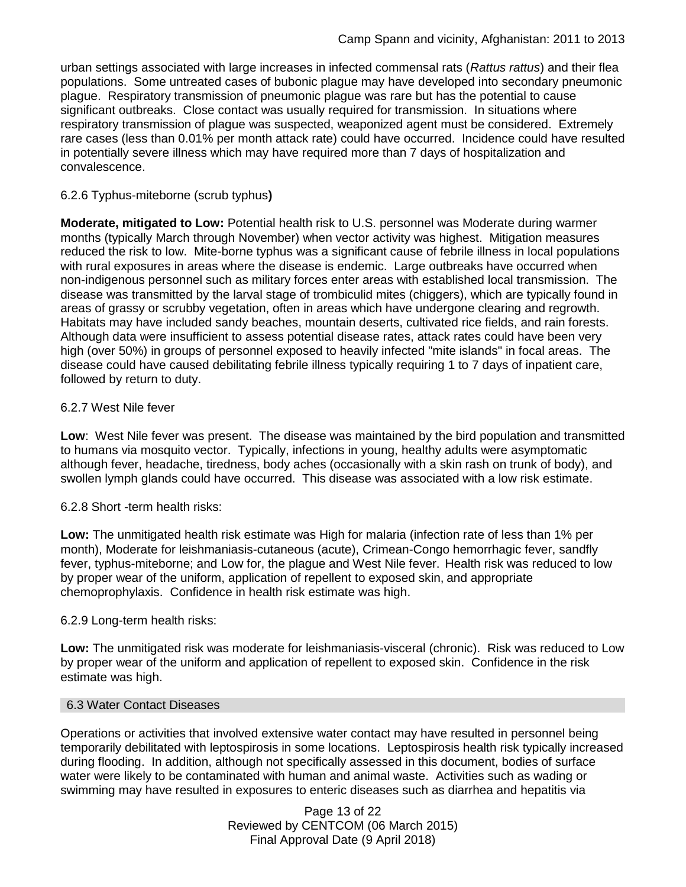urban settings associated with large increases in infected commensal rats (*Rattus rattus*) and their flea populations. Some untreated cases of bubonic plague may have developed into secondary pneumonic plague. Respiratory transmission of pneumonic plague was rare but has the potential to cause significant outbreaks. Close contact was usually required for transmission. In situations where respiratory transmission of plague was suspected, weaponized agent must be considered. Extremely rare cases (less than 0.01% per month attack rate) could have occurred. Incidence could have resulted in potentially severe illness which may have required more than 7 days of hospitalization and convalescence.

### 6.2.6 Typhus-miteborne (scrub typhus**)**

**Moderate, mitigated to Low:** Potential health risk to U.S. personnel was Moderate during warmer months (typically March through November) when vector activity was highest. Mitigation measures reduced the risk to low. Mite-borne typhus was a significant cause of febrile illness in local populations with rural exposures in areas where the disease is endemic. Large outbreaks have occurred when non-indigenous personnel such as military forces enter areas with established local transmission. The disease was transmitted by the larval stage of trombiculid mites (chiggers), which are typically found in areas of grassy or scrubby vegetation, often in areas which have undergone clearing and regrowth. Habitats may have included sandy beaches, mountain deserts, cultivated rice fields, and rain forests. Although data were insufficient to assess potential disease rates, attack rates could have been very high (over 50%) in groups of personnel exposed to heavily infected "mite islands" in focal areas. The disease could have caused debilitating febrile illness typically requiring 1 to 7 days of inpatient care, followed by return to duty.

### 6.2.7 West Nile fever

**Low**: West Nile fever was present. The disease was maintained by the bird population and transmitted to humans via mosquito vector. Typically, infections in young, healthy adults were asymptomatic although fever, headache, tiredness, body aches (occasionally with a skin rash on trunk of body), and swollen lymph glands could have occurred. This disease was associated with a low risk estimate.

### 6.2.8 Short -term health risks:

**Low:** The unmitigated health risk estimate was High for malaria (infection rate of less than 1% per month), Moderate for leishmaniasis-cutaneous (acute), Crimean-Congo hemorrhagic fever, sandfly fever, typhus-miteborne; and Low for, the plague and West Nile fever. Health risk was reduced to low by proper wear of the uniform, application of repellent to exposed skin, and appropriate chemoprophylaxis. Confidence in health risk estimate was high.

### 6.2.9 Long-term health risks:

**Low:** The unmitigated risk was moderate for leishmaniasis-visceral (chronic). Risk was reduced to Low by proper wear of the uniform and application of repellent to exposed skin. Confidence in the risk estimate was high.

#### 6.3 Water Contact Diseases

Operations or activities that involved extensive water contact may have resulted in personnel being temporarily debilitated with leptospirosis in some locations. Leptospirosis health risk typically increased during flooding. In addition, although not specifically assessed in this document, bodies of surface water were likely to be contaminated with human and animal waste. Activities such as wading or swimming may have resulted in exposures to enteric diseases such as diarrhea and hepatitis via

> Page 13 of 22 Reviewed by CENTCOM (06 March 2015) Final Approval Date (9 April 2018)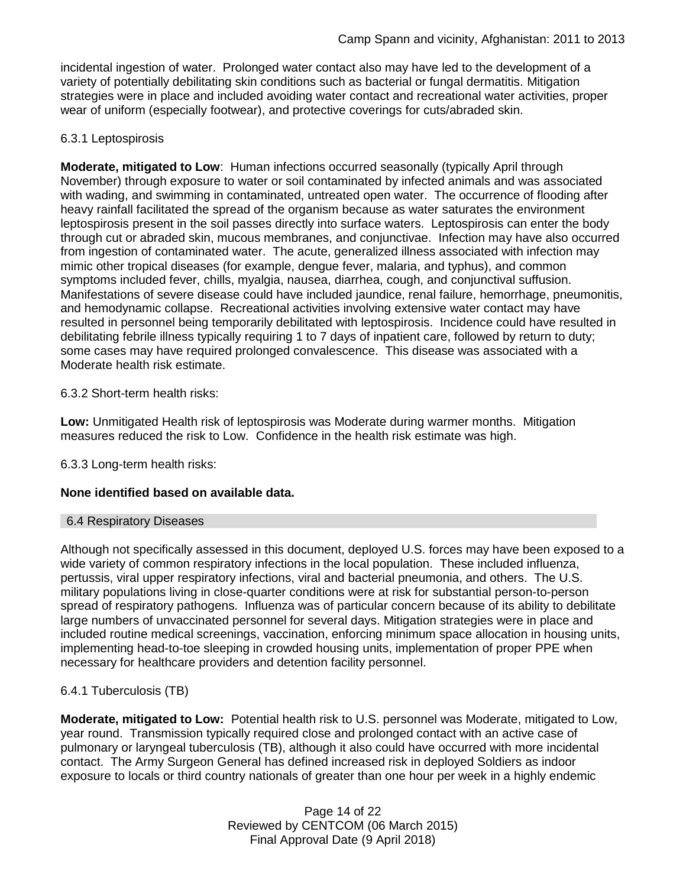incidental ingestion of water. Prolonged water contact also may have led to the development of a variety of potentially debilitating skin conditions such as bacterial or fungal dermatitis. Mitigation strategies were in place and included avoiding water contact and recreational water activities, proper wear of uniform (especially footwear), and protective coverings for cuts/abraded skin.

### 6.3.1 Leptospirosis

**Moderate, mitigated to Low**: Human infections occurred seasonally (typically April through November) through exposure to water or soil contaminated by infected animals and was associated with wading, and swimming in contaminated, untreated open water. The occurrence of flooding after heavy rainfall facilitated the spread of the organism because as water saturates the environment leptospirosis present in the soil passes directly into surface waters. Leptospirosis can enter the body through cut or abraded skin, mucous membranes, and conjunctivae. Infection may have also occurred from ingestion of contaminated water. The acute, generalized illness associated with infection may mimic other tropical diseases (for example, dengue fever, malaria, and typhus), and common symptoms included fever, chills, myalgia, nausea, diarrhea, cough, and conjunctival suffusion. Manifestations of severe disease could have included jaundice, renal failure, hemorrhage, pneumonitis, and hemodynamic collapse. Recreational activities involving extensive water contact may have resulted in personnel being temporarily debilitated with leptospirosis. Incidence could have resulted in debilitating febrile illness typically requiring 1 to 7 days of inpatient care, followed by return to duty; some cases may have required prolonged convalescence. This disease was associated with a Moderate health risk estimate.

6.3.2 Short-term health risks:

**Low:** Unmitigated Health risk of leptospirosis was Moderate during warmer months. Mitigation measures reduced the risk to Low. Confidence in the health risk estimate was high.

6.3.3 Long-term health risks:

### **None identified based on available data.**

#### 6.4 Respiratory Diseases

Although not specifically assessed in this document, deployed U.S. forces may have been exposed to a wide variety of common respiratory infections in the local population. These included influenza, pertussis, viral upper respiratory infections, viral and bacterial pneumonia, and others. The U.S. military populations living in close-quarter conditions were at risk for substantial person-to-person spread of respiratory pathogens. Influenza was of particular concern because of its ability to debilitate large numbers of unvaccinated personnel for several days. Mitigation strategies were in place and included routine medical screenings, vaccination, enforcing minimum space allocation in housing units, implementing head-to-toe sleeping in crowded housing units, implementation of proper PPE when necessary for healthcare providers and detention facility personnel.

### 6.4.1 Tuberculosis (TB)

**Moderate, mitigated to Low:** Potential health risk to U.S. personnel was Moderate, mitigated to Low, year round. Transmission typically required close and prolonged contact with an active case of pulmonary or laryngeal tuberculosis (TB), although it also could have occurred with more incidental contact. The Army Surgeon General has defined increased risk in deployed Soldiers as indoor exposure to locals or third country nationals of greater than one hour per week in a highly endemic

> Page 14 of 22 Reviewed by CENTCOM (06 March 2015) Final Approval Date (9 April 2018)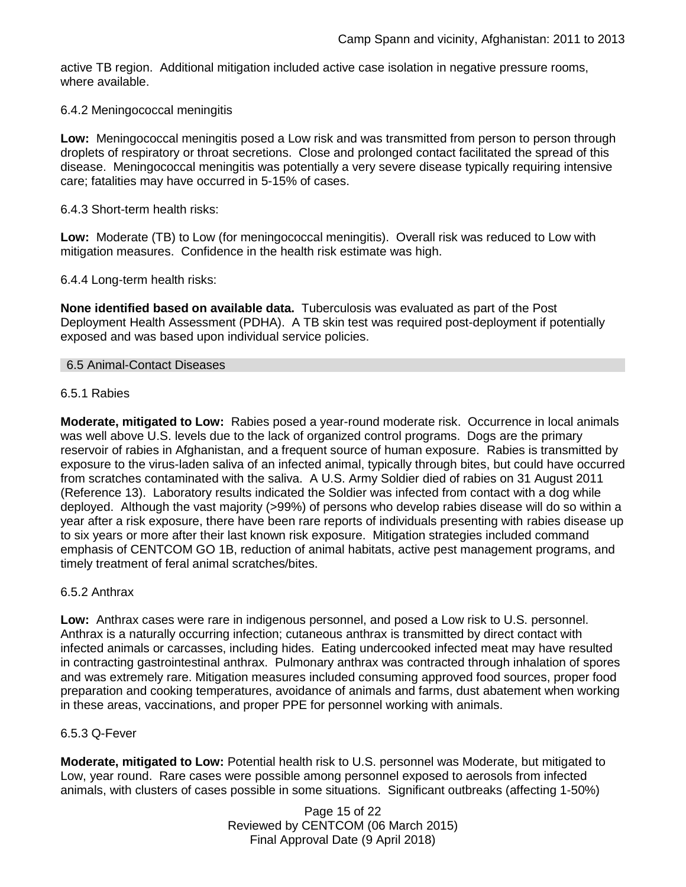active TB region. Additional mitigation included active case isolation in negative pressure rooms, where available.

### 6.4.2 Meningococcal meningitis

**Low:** Meningococcal meningitis posed a Low risk and was transmitted from person to person through droplets of respiratory or throat secretions. Close and prolonged contact facilitated the spread of this disease. Meningococcal meningitis was potentially a very severe disease typically requiring intensive care; fatalities may have occurred in 5-15% of cases.

#### 6.4.3 Short-term health risks:

**Low:** Moderate (TB) to Low (for meningococcal meningitis). Overall risk was reduced to Low with mitigation measures. Confidence in the health risk estimate was high.

### 6.4.4 Long-term health risks:

**None identified based on available data.** Tuberculosis was evaluated as part of the Post Deployment Health Assessment (PDHA). A TB skin test was required post-deployment if potentially exposed and was based upon individual service policies.

#### 6.5 Animal-Contact Diseases

### 6.5.1 Rabies

**Moderate, mitigated to Low:** Rabies posed a year-round moderate risk. Occurrence in local animals was well above U.S. levels due to the lack of organized control programs. Dogs are the primary reservoir of rabies in Afghanistan, and a frequent source of human exposure. Rabies is transmitted by exposure to the virus-laden saliva of an infected animal, typically through bites, but could have occurred from scratches contaminated with the saliva. A U.S. Army Soldier died of rabies on 31 August 2011 (Reference 13). Laboratory results indicated the Soldier was infected from contact with a dog while deployed. Although the vast majority (>99%) of persons who develop rabies disease will do so within a year after a risk exposure, there have been rare reports of individuals presenting with rabies disease up to six years or more after their last known risk exposure. Mitigation strategies included command emphasis of CENTCOM GO 1B, reduction of animal habitats, active pest management programs, and timely treatment of feral animal scratches/bites.

#### 6.5.2 Anthrax

**Low:** Anthrax cases were rare in indigenous personnel, and posed a Low risk to U.S. personnel. Anthrax is a naturally occurring infection; cutaneous anthrax is transmitted by direct contact with infected animals or carcasses, including hides. Eating undercooked infected meat may have resulted in contracting gastrointestinal anthrax. Pulmonary anthrax was contracted through inhalation of spores and was extremely rare. Mitigation measures included consuming approved food sources, proper food preparation and cooking temperatures, avoidance of animals and farms, dust abatement when working in these areas, vaccinations, and proper PPE for personnel working with animals.

#### 6.5.3 Q-Fever

**Moderate, mitigated to Low:** Potential health risk to U.S. personnel was Moderate, but mitigated to Low, year round. Rare cases were possible among personnel exposed to aerosols from infected animals, with clusters of cases possible in some situations. Significant outbreaks (affecting 1-50%)

> Page 15 of 22 Reviewed by CENTCOM (06 March 2015) Final Approval Date (9 April 2018)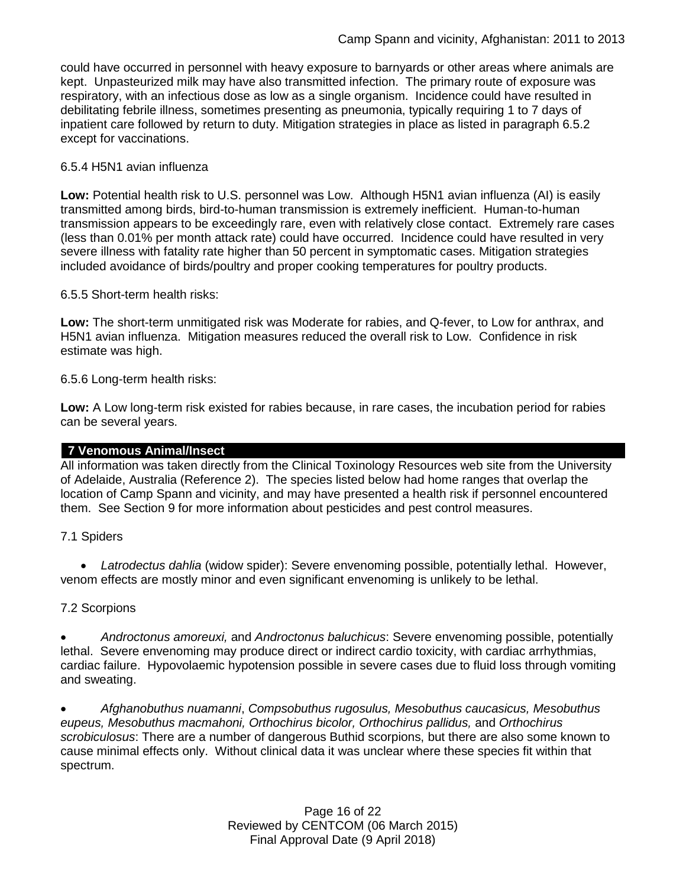could have occurred in personnel with heavy exposure to barnyards or other areas where animals are kept. Unpasteurized milk may have also transmitted infection. The primary route of exposure was respiratory, with an infectious dose as low as a single organism. Incidence could have resulted in debilitating febrile illness, sometimes presenting as pneumonia, typically requiring 1 to 7 days of inpatient care followed by return to duty. Mitigation strategies in place as listed in paragraph 6.5.2 except for vaccinations.

### 6.5.4 H5N1 avian influenza

**Low:** Potential health risk to U.S. personnel was Low. Although H5N1 avian influenza (AI) is easily transmitted among birds, bird-to-human transmission is extremely inefficient. Human-to-human transmission appears to be exceedingly rare, even with relatively close contact. Extremely rare cases (less than 0.01% per month attack rate) could have occurred. Incidence could have resulted in very severe illness with fatality rate higher than 50 percent in symptomatic cases. Mitigation strategies included avoidance of birds/poultry and proper cooking temperatures for poultry products.

### 6.5.5 Short-term health risks:

**Low:** The short-term unmitigated risk was Moderate for rabies, and Q-fever, to Low for anthrax, and H5N1 avian influenza. Mitigation measures reduced the overall risk to Low.Confidence in risk estimate was high.

6.5.6 Long-term health risks:

**Low:** A Low long-term risk existed for rabies because, in rare cases, the incubation period for rabies can be several years.

### **7 Venomous Animal/Insect**

All information was taken directly from the Clinical Toxinology Resources web site from the University of Adelaide, Australia (Reference 2). The species listed below had home ranges that overlap the location of Camp Spann and vicinity, and may have presented a health risk if personnel encountered them. See Section 9 for more information about pesticides and pest control measures.

### 7.1 Spiders

 *Latrodectus dahlia* (widow spider): Severe envenoming possible, potentially lethal. However, venom effects are mostly minor and even significant envenoming is unlikely to be lethal.

#### 7.2 Scorpions

 *Androctonus amoreuxi,* and *Androctonus baluchicus*: Severe envenoming possible, potentially lethal. Severe envenoming may produce direct or indirect cardio toxicity, with cardiac arrhythmias, cardiac failure. Hypovolaemic hypotension possible in severe cases due to fluid loss through vomiting and sweating.

 *Afghanobuthus nuamanni*, *Compsobuthus rugosulus, Mesobuthus caucasicus, Mesobuthus eupeus, Mesobuthus macmahoni, Orthochirus bicolor, Orthochirus pallidus,* and *Orthochirus scrobiculosus*: There are a number of dangerous Buthid scorpions, but there are also some known to cause minimal effects only. Without clinical data it was unclear where these species fit within that spectrum.

> Page 16 of 22 Reviewed by CENTCOM (06 March 2015) Final Approval Date (9 April 2018)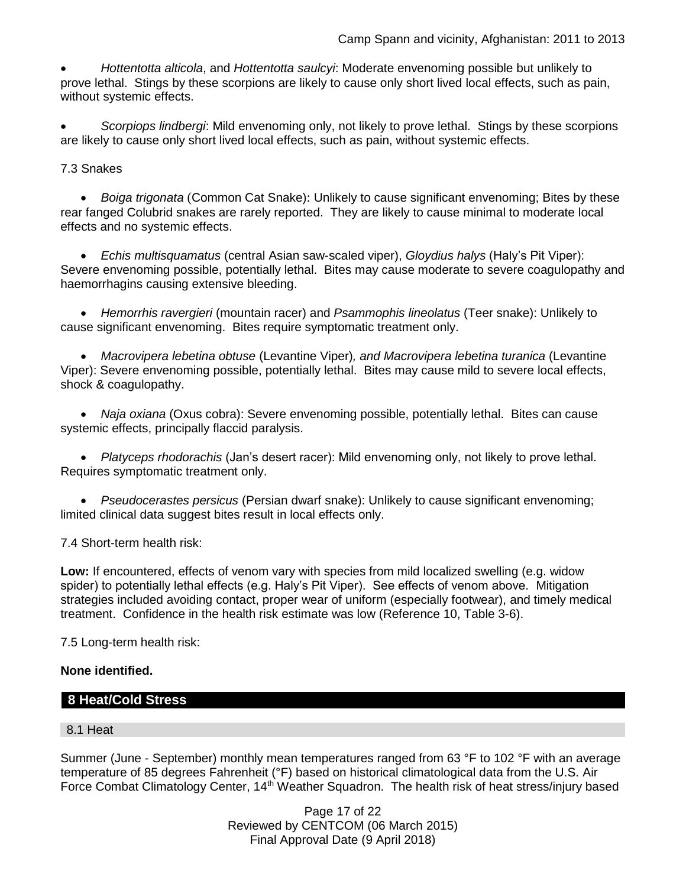*Hottentotta alticola*, and *Hottentotta saulcyi*: Moderate envenoming possible but unlikely to prove lethal. Stings by these scorpions are likely to cause only short lived local effects, such as pain, without systemic effects.

 *Scorpiops lindbergi*: Mild envenoming only, not likely to prove lethal. Stings by these scorpions are likely to cause only short lived local effects, such as pain, without systemic effects.

7.3 Snakes

 *[Boiga](http://www.toxinology.com/fusebox.cfm?fuseaction=main.snakes.display&id=SN0722) [trigonata](http://www.toxinology.com/fusebox.cfm?fuseaction=main.snakes.display&id=SN0722)* (Common Cat Snake): Unlikely to cause significant envenoming; Bites by these rear fanged Colubrid snakes are rarely reported. They are likely to cause minimal to moderate local effects and no systemic effects.

 *Echis multisquamatus* (central Asian saw-scaled viper), *Gloydius halys* (Haly's Pit Viper): Severe envenoming possible, potentially lethal. Bites may cause moderate to severe coagulopathy and haemorrhagins causing extensive bleeding.

 *Hemorrhis ravergieri* (mountain racer) and *Psammophis lineolatus* (Teer snake): Unlikely to cause significant envenoming. Bites require symptomatic treatment only.

 *Macrovipera lebetina obtuse* (Levantine Viper)*, and Macrovipera lebetina turanica* (Levantine Viper): Severe envenoming possible, potentially lethal. Bites may cause mild to severe local effects, shock & coagulopathy.

 *Naja oxiana* (Oxus cobra): Severe envenoming possible, potentially lethal. Bites can cause systemic effects, principally flaccid paralysis.

 *Platyceps rhodorachis* (Jan's desert racer): Mild envenoming only, not likely to prove lethal. Requires symptomatic treatment only.

 *Pseudocerastes persicus* (Persian dwarf snake): Unlikely to cause significant envenoming; limited clinical data suggest bites result in local effects only.

7.4 Short-term health risk:

**Low:** If encountered, effects of venom vary with species from mild localized swelling (e.g. widow spider) to potentially lethal effects (e.g. Haly's Pit Viper). See effects of venom above. Mitigation strategies included avoiding contact, proper wear of uniform (especially footwear), and timely medical treatment. Confidence in the health risk estimate was low (Reference 10, Table 3-6).

7.5 Long-term health risk:

### **None identified.**

### **8 Heat/Cold Stress**

#### 8.1 Heat

Summer (June - September) monthly mean temperatures ranged from 63 °F to 102 °F with an average temperature of 85 degrees Fahrenheit (°F) based on historical climatological data from the U.S. Air Force Combat Climatology Center, 14<sup>th</sup> Weather Squadron. The health risk of heat stress/injury based

> Page 17 of 22 Reviewed by CENTCOM (06 March 2015) Final Approval Date (9 April 2018)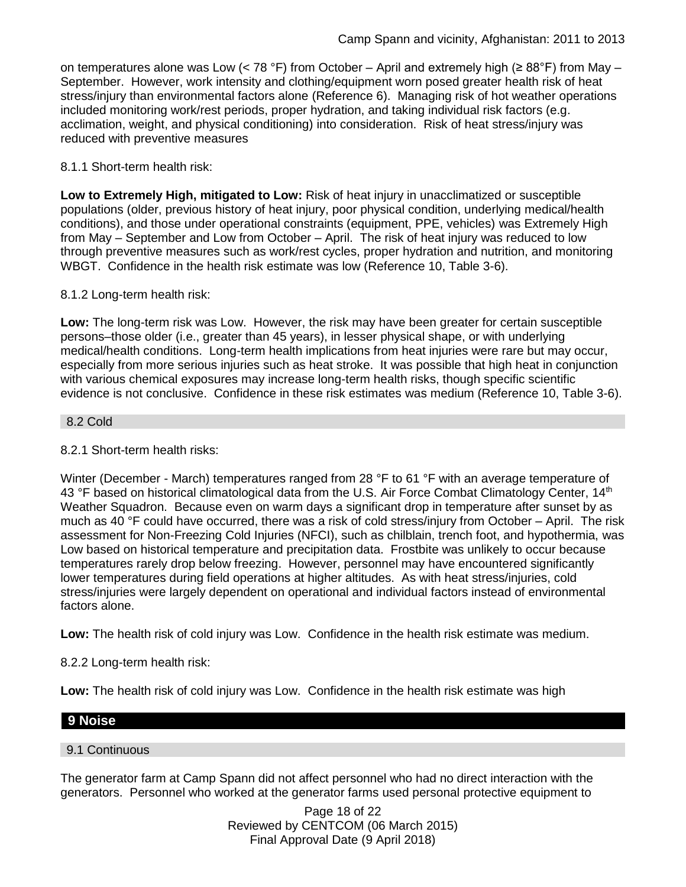on temperatures alone was Low (< 78 °F) from October – April and extremely high ( $\geq 88$ °F) from May – September. However, work intensity and clothing/equipment worn posed greater health risk of heat stress/injury than environmental factors alone (Reference 6). Managing risk of hot weather operations included monitoring work/rest periods, proper hydration, and taking individual risk factors (e.g. acclimation, weight, and physical conditioning) into consideration. Risk of heat stress/injury was reduced with preventive measures

### 8.1.1 Short-term health risk:

**Low to Extremely High, mitigated to Low:** Risk of heat injury in unacclimatized or susceptible populations (older, previous history of heat injury, poor physical condition, underlying medical/health conditions), and those under operational constraints (equipment, PPE, vehicles) was Extremely High from May – September and Low from October – April. The risk of heat injury was reduced to low through preventive measures such as work/rest cycles, proper hydration and nutrition, and monitoring WBGT. Confidence in the health risk estimate was low (Reference 10, Table 3-6).

### 8.1.2 Long-term health risk:

**Low:** The long-term risk was Low. However, the risk may have been greater for certain susceptible persons–those older (i.e., greater than 45 years), in lesser physical shape, or with underlying medical/health conditions. Long-term health implications from heat injuries were rare but may occur, especially from more serious injuries such as heat stroke. It was possible that high heat in conjunction with various chemical exposures may increase long-term health risks, though specific scientific evidence is not conclusive. Confidence in these risk estimates was medium (Reference 10, Table 3-6).

#### 8.2 Cold

#### 8.2.1 Short-term health risks:

Winter (December - March) temperatures ranged from 28 °F to 61 °F with an average temperature of 43 °F based on historical climatological data from the U.S. Air Force Combat Climatology Center, 14<sup>th</sup> Weather Squadron. Because even on warm days a significant drop in temperature after sunset by as much as 40 °F could have occurred, there was a risk of cold stress/injury from October – April. The risk assessment for Non-Freezing Cold Injuries (NFCI), such as chilblain, trench foot, and hypothermia, was Low based on historical temperature and precipitation data. Frostbite was unlikely to occur because temperatures rarely drop below freezing. However, personnel may have encountered significantly lower temperatures during field operations at higher altitudes. As with heat stress/injuries, cold stress/injuries were largely dependent on operational and individual factors instead of environmental factors alone.

**Low:** The health risk of cold injury was Low. Confidence in the health risk estimate was medium.

8.2.2 Long-term health risk:

**Low:** The health risk of cold injury was Low. Confidence in the health risk estimate was high

### **9 Noise**

#### 9.1 Continuous

The generator farm at Camp Spann did not affect personnel who had no direct interaction with the generators. Personnel who worked at the generator farms used personal protective equipment to

> Page 18 of 22 Reviewed by CENTCOM (06 March 2015) Final Approval Date (9 April 2018)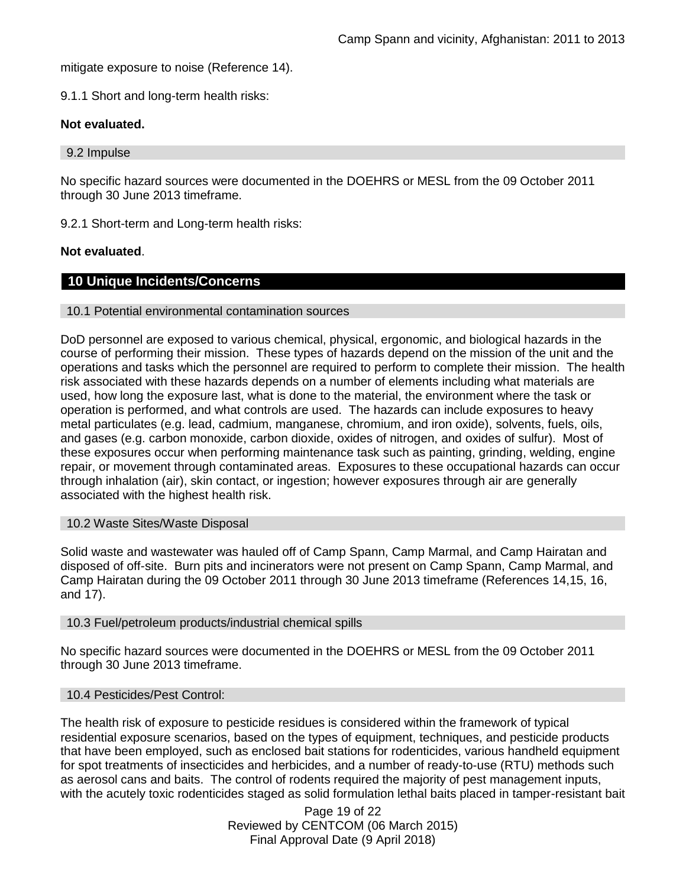mitigate exposure to noise (Reference 14).

9.1.1 Short and long-term health risks:

#### **Not evaluated.**

#### 9.2 Impulse

No specific hazard sources were documented in the DOEHRS or MESL from the 09 October 2011 through 30 June 2013 timeframe.

9.2.1 Short-term and Long-term health risks:

#### **Not evaluated**.

### **10 Unique Incidents/Concerns**

#### 10.1 Potential environmental contamination sources

DoD personnel are exposed to various chemical, physical, ergonomic, and biological hazards in the course of performing their mission. These types of hazards depend on the mission of the unit and the operations and tasks which the personnel are required to perform to complete their mission. The health risk associated with these hazards depends on a number of elements including what materials are used, how long the exposure last, what is done to the material, the environment where the task or operation is performed, and what controls are used. The hazards can include exposures to heavy metal particulates (e.g. lead, cadmium, manganese, chromium, and iron oxide), solvents, fuels, oils, and gases (e.g. carbon monoxide, carbon dioxide, oxides of nitrogen, and oxides of sulfur). Most of these exposures occur when performing maintenance task such as painting, grinding, welding, engine repair, or movement through contaminated areas. Exposures to these occupational hazards can occur through inhalation (air), skin contact, or ingestion; however exposures through air are generally associated with the highest health risk.

#### 10.2 Waste Sites/Waste Disposal

Solid waste and wastewater was hauled off of Camp Spann, Camp Marmal, and Camp Hairatan and disposed of off-site. Burn pits and incinerators were not present on Camp Spann, Camp Marmal, and Camp Hairatan during the 09 October 2011 through 30 June 2013 timeframe (References 14,15, 16, and 17).

#### 10.3 Fuel/petroleum products/industrial chemical spills

No specific hazard sources were documented in the DOEHRS or MESL from the 09 October 2011 through 30 June 2013 timeframe.

#### 10.4 Pesticides/Pest Control:

The health risk of exposure to pesticide residues is considered within the framework of typical residential exposure scenarios, based on the types of equipment, techniques, and pesticide products that have been employed, such as enclosed bait stations for rodenticides, various handheld equipment for spot treatments of insecticides and herbicides, and a number of ready-to-use (RTU) methods such as aerosol cans and baits. The control of rodents required the majority of pest management inputs, with the acutely toxic rodenticides staged as solid formulation lethal baits placed in tamper-resistant bait

> Page 19 of 22 Reviewed by CENTCOM (06 March 2015) Final Approval Date (9 April 2018)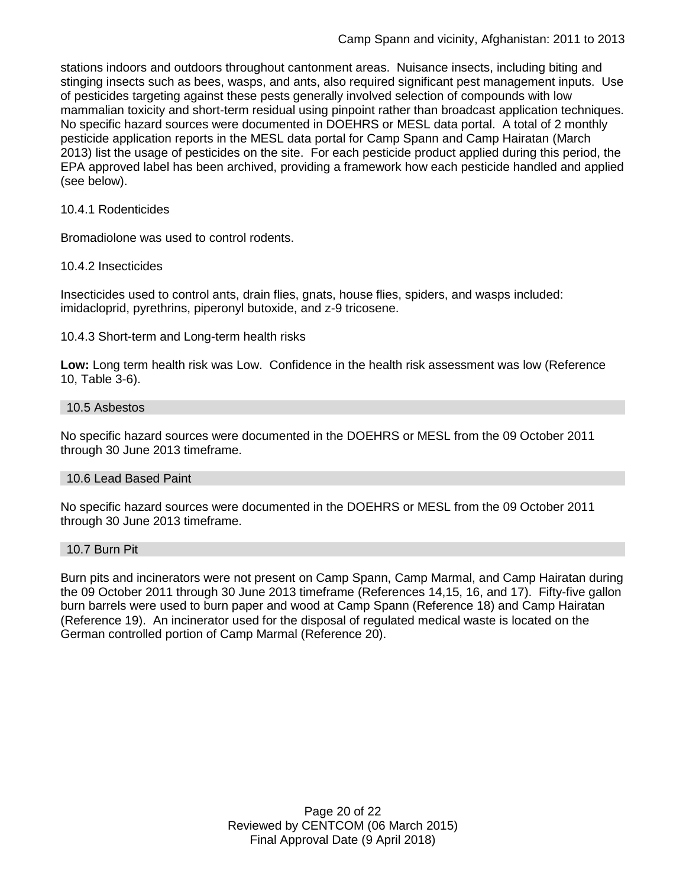stations indoors and outdoors throughout cantonment areas. Nuisance insects, including biting and stinging insects such as bees, wasps, and ants, also required significant pest management inputs. Use of pesticides targeting against these pests generally involved selection of compounds with low mammalian toxicity and short-term residual using pinpoint rather than broadcast application techniques. No specific hazard sources were documented in DOEHRS or MESL data portal. A total of 2 monthly pesticide application reports in the MESL data portal for Camp Spann and Camp Hairatan (March 2013) list the usage of pesticides on the site. For each pesticide product applied during this period, the EPA approved label has been archived, providing a framework how each pesticide handled and applied (see below).

#### 10.4.1 Rodenticides

Bromadiolone was used to control rodents.

### 10.4.2 Insecticides

Insecticides used to control ants, drain flies, gnats, house flies, spiders, and wasps included: imidacloprid, pyrethrins, piperonyl butoxide, and z-9 tricosene.

#### 10.4.3 Short-term and Long-term health risks

**Low:** Long term health risk was Low. Confidence in the health risk assessment was low (Reference 10, Table 3-6).

#### 10.5 Asbestos

No specific hazard sources were documented in the DOEHRS or MESL from the 09 October 2011 through 30 June 2013 timeframe.

#### 10.6 Lead Based Paint

No specific hazard sources were documented in the DOEHRS or MESL from the 09 October 2011 through 30 June 2013 timeframe.

#### 10.7 Burn Pit

Burn pits and incinerators were not present on Camp Spann, Camp Marmal, and Camp Hairatan during the 09 October 2011 through 30 June 2013 timeframe (References 14,15, 16, and 17). Fifty-five gallon burn barrels were used to burn paper and wood at Camp Spann (Reference 18) and Camp Hairatan (Reference 19). An incinerator used for the disposal of regulated medical waste is located on the German controlled portion of Camp Marmal (Reference 20).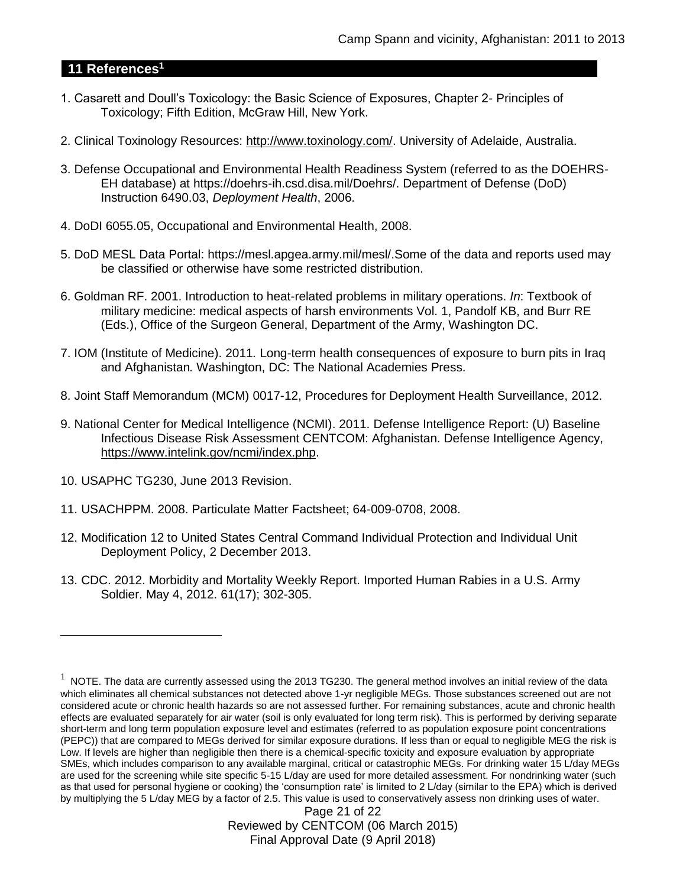# **11 References<sup>1</sup>**

- 1. Casarett and Doull's Toxicology: the Basic Science of Exposures, Chapter 2- Principles of Toxicology; Fifth Edition, McGraw Hill, New York.
- 2. Clinical Toxinology Resources: [http://www.toxinology.com/.](http://www.toxinology.com/) University of Adelaide, Australia.
- 3. Defense Occupational and Environmental Health Readiness System (referred to as the DOEHRS-EH database) at https://doehrs-ih.csd.disa.mil/Doehrs/. Department of Defense (DoD) Instruction 6490.03, *Deployment Health*, 2006.
- 4. DoDI 6055.05, Occupational and Environmental Health, 2008.
- 5. DoD MESL Data Portal: https://mesl.apgea.army.mil/mesl/.Some of the data and reports used may be classified or otherwise have some restricted distribution.
- 6. Goldman RF. 2001. Introduction to heat-related problems in military operations. *In*: Textbook of military medicine: medical aspects of harsh environments Vol. 1, Pandolf KB, and Burr RE (Eds.), Office of the Surgeon General, Department of the Army, Washington DC.
- 7. IOM (Institute of Medicine). 2011*.* Long-term health consequences of exposure to burn pits in Iraq and Afghanistan*.* Washington, DC: The National Academies Press.
- 8. Joint Staff Memorandum (MCM) 0017-12, Procedures for Deployment Health Surveillance, 2012.
- 9. National Center for Medical Intelligence (NCMI). 2011. Defense Intelligence Report: (U) Baseline Infectious Disease Risk Assessment CENTCOM: Afghanistan. Defense Intelligence Agency, [https://www.intelink.gov/ncmi/index.php.](https://www.intelink.gov/ncmi/index.php)
- 10. USAPHC TG230, June 2013 Revision.

 $\overline{a}$ 

- 11. USACHPPM. 2008. Particulate Matter Factsheet; 64-009-0708, 2008.
- 12. Modification 12 to United States Central Command Individual Protection and Individual Unit Deployment Policy, 2 December 2013.
- 13. CDC. 2012. Morbidity and Mortality Weekly Report. Imported Human Rabies in a U.S. Army Soldier. May 4, 2012. 61(17); 302-305.

 $1$  NOTE. The data are currently assessed using the 2013 TG230. The general method involves an initial review of the data which eliminates all chemical substances not detected above 1-yr negligible MEGs. Those substances screened out are not considered acute or chronic health hazards so are not assessed further. For remaining substances, acute and chronic health effects are evaluated separately for air water (soil is only evaluated for long term risk). This is performed by deriving separate short-term and long term population exposure level and estimates (referred to as population exposure point concentrations (PEPC)) that are compared to MEGs derived for similar exposure durations. If less than or equal to negligible MEG the risk is Low. If levels are higher than negligible then there is a chemical-specific toxicity and exposure evaluation by appropriate SMEs, which includes comparison to any available marginal, critical or catastrophic MEGs. For drinking water 15 L/day MEGs are used for the screening while site specific 5-15 L/day are used for more detailed assessment. For nondrinking water (such as that used for personal hygiene or cooking) the 'consumption rate' is limited to 2 L/day (similar to the EPA) which is derived by multiplying the 5 L/day MEG by a factor of 2.5. This value is used to conservatively assess non drinking uses of water.